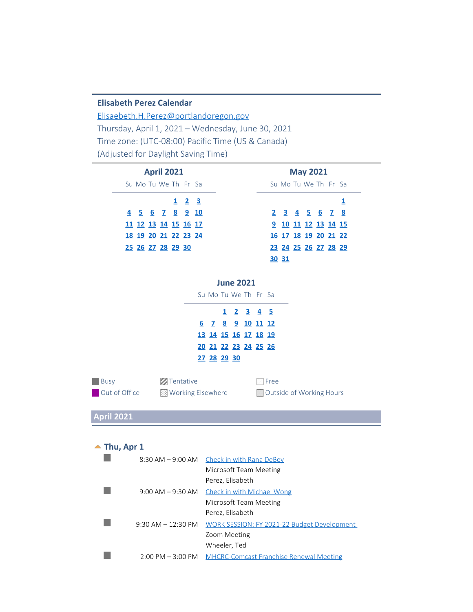#### **Elisabeth Perez Calendar**

[Elisaebeth.H.Perez@portlandoregon.gov](mailto:Elisaebeth.H.Perez@portlandoregon.gov) Thursday, April 1, 2021 – Wednesday, June 30, 2021 Time zone: (UTC-08:00) Pacific Time (US & Canada) (Adjusted for Daylight Saving Time)

| Su Mo Tu We The Free Sa |
|-------------------------|
|                         |
| 2 3 4 5 6 7 8           |
| 9 10 11 12 13 14 15     |
| 16 17 18 19 20 21 22    |
| 23 24 25 26 27 28 29    |
| 30 31                   |
|                         |

**June 2021**

|             | Su Mo Tu We The Free Sa |  |  |
|-------------|-------------------------|--|--|
|             | 1 2 3 4 5               |  |  |
|             | 6 7 8 9 10 11 12        |  |  |
|             | 13 14 15 16 17 18 19    |  |  |
|             | 20 21 22 23 24 25 26    |  |  |
| 27 28 29 30 |                         |  |  |
|             |                         |  |  |

| Busy          | <b>Z</b> Tentative  | <b>T</b> Free            |
|---------------|---------------------|--------------------------|
| Out of Office | ■ Working Elsewhere | Outside of Working Hours |

**April 2021**

#### <span id="page-0-0"></span>▲ Thu, Apr 1

|                       | 8:30 AM - 9:00 AM Check in with Rana DeBey     |
|-----------------------|------------------------------------------------|
|                       | Microsoft Team Meeting                         |
|                       | Perez, Elisabeth                               |
| $9:00$ AM $-9:30$ AM  | Check in with Michael Wong                     |
|                       | Microsoft Team Meeting                         |
|                       | Perez, Elisabeth                               |
| $9:30$ AM $-12:30$ PM | WORK SESSION: FY 2021-22 Budget Development    |
|                       | Zoom Meeting                                   |
|                       | Wheeler, Ted                                   |
| $2:00$ PM $-3:00$ PM  | <b>MHCRC-Comcast Franchise Renewal Meeting</b> |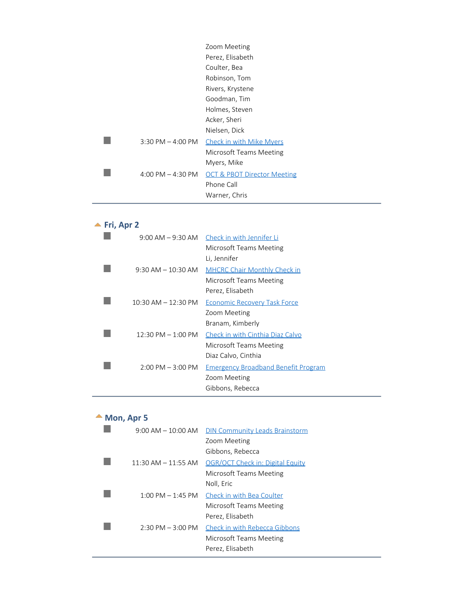|                       | Zoom Meeting                           |
|-----------------------|----------------------------------------|
|                       | Perez, Elisabeth                       |
|                       | Coulter, Bea                           |
|                       | Robinson, Tom                          |
|                       | Rivers, Krystene                       |
|                       | Goodman, Tim                           |
|                       | Holmes, Steven                         |
|                       | Acker, Sheri                           |
|                       | Nielsen, Dick                          |
| $3:30$ PM $-$ 4:00 PM | <b>Check in with Mike Myers</b>        |
|                       | Microsoft Teams Meeting                |
|                       | Myers, Mike                            |
| 4:00 PM $-$ 4:30 PM   | <b>OCT &amp; PBOT Director Meeting</b> |
|                       | Phone Call                             |
|                       | Warner, Chris                          |
|                       |                                        |

<span id="page-1-0"></span>

| Fri, Apr 2                           |                                             |
|--------------------------------------|---------------------------------------------|
|                                      | 9:00 AM – 9:30 AM Check in with Jennifer Li |
|                                      | Microsoft Teams Meeting                     |
|                                      | Li, Jennifer                                |
| $9:30$ AM $-10:30$ AM                | <b>MHCRC Chair Monthly Check in</b>         |
|                                      | Microsoft Teams Meeting                     |
|                                      | Perez, Elisabeth                            |
| $10:30$ AM $- 12:30$ PM              | <b>Economic Recovery Task Force</b>         |
|                                      | Zoom Meeting                                |
|                                      | Branam, Kimberly                            |
| $12:30 \text{ PM} - 1:00 \text{ PM}$ | Check in with Cinthia Diaz Calvo            |
|                                      | Microsoft Teams Meeting                     |
|                                      | Diaz Calvo, Cinthia                         |
| $2:00$ PM $-3:00$ PM                 | <b>Emergency Broadband Benefit Program</b>  |
|                                      | Zoom Meeting                                |
|                                      | Gibbons, Rebecca                            |

<span id="page-1-1"></span>

| $\triangle$ Mon, Apr 5 |  |
|------------------------|--|
|                        |  |

| $9:00$ AM $-10:00$ AM               | <b>DIN Community Leads Brainstorm</b>                         |
|-------------------------------------|---------------------------------------------------------------|
|                                     | Zoom Meeting                                                  |
|                                     | Gibbons, Rebecca                                              |
| $11:30$ AM $-11:55$ AM              | OGR/OCT Check in: Digital Equity                              |
|                                     | Microsoft Teams Meeting                                       |
|                                     | Noll, Eric                                                    |
|                                     | $1:00 \text{ PM} - 1:45 \text{ PM}$ Check in with Bea Coulter |
|                                     | Microsoft Teams Meeting                                       |
|                                     | Perez, Elisabeth                                              |
| $2:30 \text{ PM} - 3:00 \text{ PM}$ | Check in with Rebecca Gibbons                                 |
|                                     | Microsoft Teams Meeting                                       |
|                                     | Perez, Elisabeth                                              |
|                                     |                                                               |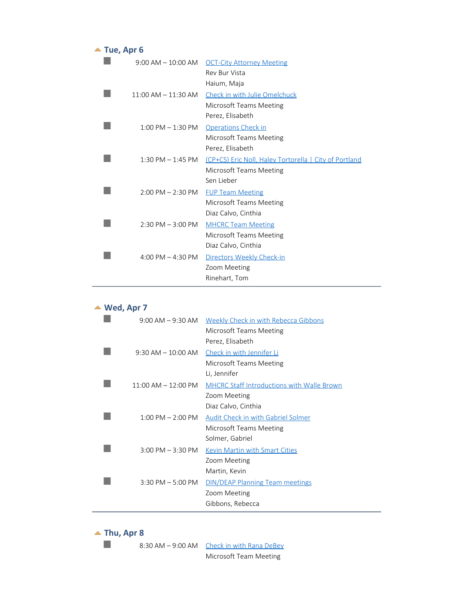#### <span id="page-2-0"></span>▲ Tue, Apr 6

| $9:00$ AM $-10:00$ AM   | <b>OCT-City Attorney Meeting</b>                              |
|-------------------------|---------------------------------------------------------------|
|                         | Rev Bur Vista                                                 |
|                         | Haium, Maja                                                   |
| $11:00$ AM $- 11:30$ AM | Check in with Julie Omelchuck                                 |
|                         | Microsoft Teams Meeting                                       |
|                         | Perez, Elisabeth                                              |
| $1:00$ PM $-1:30$ PM    | <b>Operations Check in</b>                                    |
|                         | Microsoft Teams Meeting                                       |
|                         | Perez, Elisabeth                                              |
| $1:30$ PM $-1:45$ PM    | <u>(CP+CS) Eric Noll, Haley Tortorella   City of Portland</u> |
|                         | Microsoft Teams Meeting                                       |
|                         | Sen Lieber                                                    |
| $2:00$ PM $- 2:30$ PM   | <b>FUP Team Meeting</b>                                       |
|                         | Microsoft Teams Meeting                                       |
|                         | Diaz Calvo, Cinthia                                           |
| $2:30$ PM $-3:00$ PM    | <b>MHCRC Team Meeting</b>                                     |
|                         | Microsoft Teams Meeting                                       |
|                         | Diaz Calvo, Cinthia                                           |
| 4:00 PM $-$ 4:30 PM     | Directors Weekly Check-in                                     |
|                         | Zoom Meeting                                                  |
|                         | Rinehart, Tom                                                 |

#### **Wed, Apr 7**

<span id="page-2-1"></span>

| $9:00$ AM $-9:30$ AM    | Weekly Check in with Rebecca Gibbons<br>Microsoft Teams Meeting<br>Perez, Elisabeth      |
|-------------------------|------------------------------------------------------------------------------------------|
| $9:30$ AM $-10:00$ AM   | Check in with Jennifer Li<br>Microsoft Teams Meeting<br>Li, Jennifer                     |
| $11:00$ AM $- 12:00$ PM | <b>MHCRC Staff Introductions with Walle Brown</b><br>Zoom Meeting<br>Diaz Calvo, Cinthia |
| $1:00$ PM $- 2:00$ PM   | Audit Check in with Gabriel Solmer<br>Microsoft Teams Meeting<br>Solmer, Gabriel         |
| $3:00$ PM $-3:30$ PM    | <b>Kevin Martin with Smart Cities</b><br>Zoom Meeting<br>Martin, Kevin                   |
| $3:30$ PM $-5:00$ PM    | <b>DIN/DEAP Planning Team meetings</b><br>Zoom Meeting<br>Gibbons, Rebecca               |

<span id="page-2-2"></span> $\blacktriangle$  Thu, Apr 8  $\mathcal{L}_{\mathcal{A}}$ 8:30 AM – 9:00 AM Check in with Rana DeBey

Microsoft Team Meeting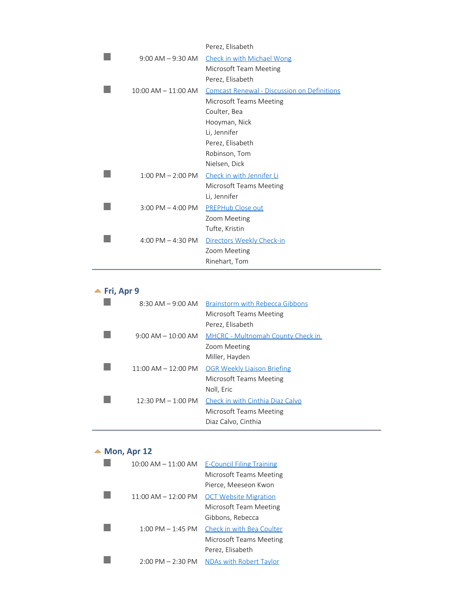|                         | Perez, Elisabeth                            |
|-------------------------|---------------------------------------------|
| 9:00 AM – 9:30 AM       | Check in with Michael Wong                  |
|                         | Microsoft Team Meeting                      |
|                         | Perez, Elisabeth                            |
| $10:00$ AM $- 11:00$ AM | Comcast Renewal - Discussion on Definitions |
|                         | Microsoft Teams Meeting                     |
|                         | Coulter, Bea                                |
|                         | Hooyman, Nick                               |
|                         | Li, Jennifer                                |
|                         | Perez, Elisabeth                            |
|                         | Robinson, Tom                               |
|                         | Nielsen, Dick                               |
| $1:00$ PM $- 2:00$ PM   | Check in with Jennifer Li                   |
|                         | Microsoft Teams Meeting                     |
|                         | Li, Jennifer                                |
| $3:00$ PM $-$ 4:00 PM   | <b>PREPHub Close out</b>                    |
|                         | Zoom Meeting                                |
|                         | Tufte, Kristin                              |
| 4:00 PM $-$ 4:30 PM     | Directors Weekly Check-in                   |
|                         | Zoom Meeting                                |
|                         | Rinehart, Tom                               |
|                         |                                             |

#### <span id="page-3-0"></span>**<u>A</u>** Fri, Apr 9

| $8:30$ AM $-$ 9:00 AM                    | Brainstorm with Rebecca Gibbons          |
|------------------------------------------|------------------------------------------|
|                                          | Microsoft Teams Meeting                  |
|                                          | Perez, Elisabeth                         |
| $9:00 \, \text{AM} - 10:00 \, \text{AM}$ | <b>MHCRC</b> - Multnomah County Check in |
|                                          | Zoom Meeting                             |
|                                          | Miller, Hayden                           |
| $11:00 \,$ AM $- 12:00 \,$ PM            | <b>OGR Weekly Liaison Briefing</b>       |
|                                          | Microsoft Teams Meeting                  |
|                                          | Noll, Eric                               |
| $12:30 \text{ PM} - 1:00 \text{ PM}$     | Check in with Cinthia Diaz Calvo         |
|                                          | Microsoft Teams Meeting                  |
|                                          | Diaz Calvo, Cinthia                      |
|                                          |                                          |

#### <span id="page-3-1"></span>▲ Mon, Apr 12

| $10:00$ AM $- 11:00$ AM             | <b>E-Council Filing Training</b> |
|-------------------------------------|----------------------------------|
|                                     | Microsoft Teams Meeting          |
|                                     | Pierce, Meeseon Kwon             |
| $11:00$ AM $- 12:00$ PM             | <b>OCT Website Migration</b>     |
|                                     | Microsoft Team Meeting           |
|                                     | Gibbons, Rebecca                 |
| $1:00 \text{ PM} - 1:45 \text{ PM}$ | Check in with Bea Coulter        |
|                                     | Microsoft Teams Meeting          |
|                                     | Perez, Elisabeth                 |
| $2:00 \text{ PM} - 2:30 \text{ PM}$ | NDAs with Robert Taylor          |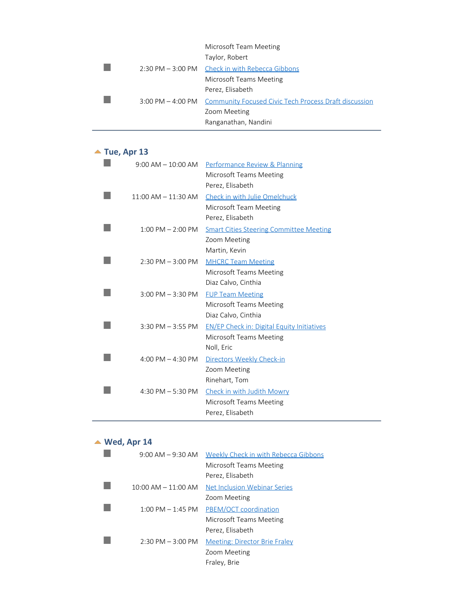|  | Microsoft Team Meeting                                                  |
|--|-------------------------------------------------------------------------|
|  | Taylor, Robert                                                          |
|  | 2:30 PM - 3:00 PM Check in with Rebecca Gibbons                         |
|  | Microsoft Teams Meeting                                                 |
|  | Perez, Elisabeth                                                        |
|  | 3:00 PM - 4:00 PM Community Focused Civic Tech Process Draft discussion |
|  | Zoom Meeting                                                            |
|  | Ranganathan, Nandini                                                    |
|  |                                                                         |

# <span id="page-4-0"></span>▲ Tue, Apr 13

| $9:00$ AM $-10:00$ AM   | <b>Performance Review &amp; Planning</b>          |
|-------------------------|---------------------------------------------------|
|                         | Microsoft Teams Meeting                           |
|                         | Perez, Elisabeth                                  |
| $11:00$ AM $- 11:30$ AM | Check in with Julie Omelchuck                     |
|                         | Microsoft Team Meeting                            |
|                         | Perez, Elisabeth                                  |
| $1:00$ PM $- 2:00$ PM   | <b>Smart Cities Steering Committee Meeting</b>    |
|                         | Zoom Meeting                                      |
|                         | Martin, Kevin                                     |
| $2:30$ PM $-3:00$ PM    | <b>MHCRC Team Meeting</b>                         |
|                         | Microsoft Teams Meeting                           |
|                         | Diaz Calvo, Cinthia                               |
| $3:00$ PM $-3:30$ PM    | <b>FUP Team Meeting</b>                           |
|                         | Microsoft Teams Meeting                           |
|                         | Diaz Calvo, Cinthia                               |
| $3:30$ PM $-3:55$ PM    | <b>EN/EP Check in: Digital Equity Initiatives</b> |
|                         | Microsoft Teams Meeting                           |
|                         | Noll, Eric                                        |
| 4:00 PM $-$ 4:30 PM     | Directors Weekly Check-in                         |
|                         | Zoom Meeting                                      |
|                         | Rinehart, Tom                                     |
| 4:30 PM $-$ 5:30 PM     | Check in with Judith Mowry                        |
|                         | Microsoft Teams Meeting                           |
|                         | Perez, Elisabeth                                  |

#### <span id="page-4-1"></span>**Wed, Apr 14**

| $9:00$ AM $-9:30$ AM                | Weekly Check in with Rebecca Gibbons |
|-------------------------------------|--------------------------------------|
|                                     | Microsoft Teams Meeting              |
|                                     | Perez, Elisabeth                     |
| $10:00$ AM $- 11:00$ AM             | Net Inclusion Webinar Series         |
|                                     | Zoom Meeting                         |
| $1:00 \text{ PM} - 1:45 \text{ PM}$ | PBEM/OCT coordination                |
|                                     | Microsoft Teams Meeting              |
|                                     | Perez, Elisabeth                     |
| $2:30 \text{ PM} - 3:00 \text{ PM}$ | Meeting: Director Brie Fraley        |
|                                     | Zoom Meeting                         |
|                                     | Fraley, Brie                         |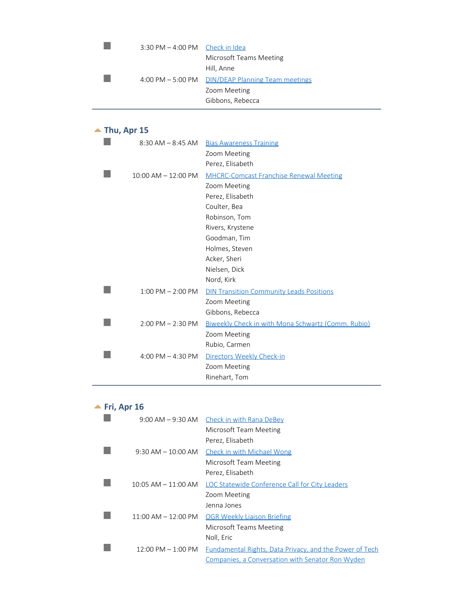| 4:00 PM - 5:00 PM     DIN/DEAP Planning Team meetings |
|-------------------------------------------------------|
|                                                       |
|                                                       |
|                                                       |

#### <span id="page-5-0"></span>▲ Thu, Apr 15  $\mathbb{R}^n$ 8:30 AM - 8:45 AM Bias Awareness Training Zoom Meeting Perez, Elisabeth  $\mathbb{R}^n$ 10:00 AM - 12:00 PM MHCRC-Comcast Franchise Renewal Meeting Zoom Meeting Perez, Elisabeth Coulter, Bea Robinson, Tom Rivers, Krystene Goodman, Tim Holmes, Steven Acker, Sheri Nielsen, Dick Nord, Kirk  $\mathbb{R}^n$ 1:00 PM – 2:00 PM DIN Transition Community Leads Positions Zoom Meeting Gibbons, Rebecca 2:00 PM – 2:30 PM Biweekly Check in with Mona Schwartz (Comm. Rubio)

|  | Zoom Meeting                                |
|--|---------------------------------------------|
|  | Rubio, Carmen                               |
|  | 4:00 PM - 4:30 PM Directors Weekly Check-in |
|  | Zoom Meeting                                |
|  | Rinehart, Tom                               |

#### <span id="page-5-1"></span>**<u>▲ Fri, Apr 16</u>**

|                                      | $9:00$ AM $-9:30$ AM Check in with Rana DeBey           |
|--------------------------------------|---------------------------------------------------------|
|                                      | Microsoft Team Meeting                                  |
|                                      | Perez, Elisabeth                                        |
| $9:30$ AM $-10:00$ AM                | Check in with Michael Wong                              |
|                                      | Microsoft Team Meeting                                  |
|                                      | Perez, Elisabeth                                        |
| $10:05$ AM $- 11:00$ AM              | LOC Statewide Conference Call for City Leaders          |
|                                      | Zoom Meeting                                            |
|                                      | Jenna Jones                                             |
| $11:00$ AM $- 12:00$ PM              | <b>OGR Weekly Liaison Briefing</b>                      |
|                                      | Microsoft Teams Meeting                                 |
|                                      | Noll, Eric                                              |
| $12:00 \text{ PM} - 1:00 \text{ PM}$ | Fundamental Rights, Data Privacy, and the Power of Tech |
|                                      | Companies, a Conversation with Senator Ron Wyden        |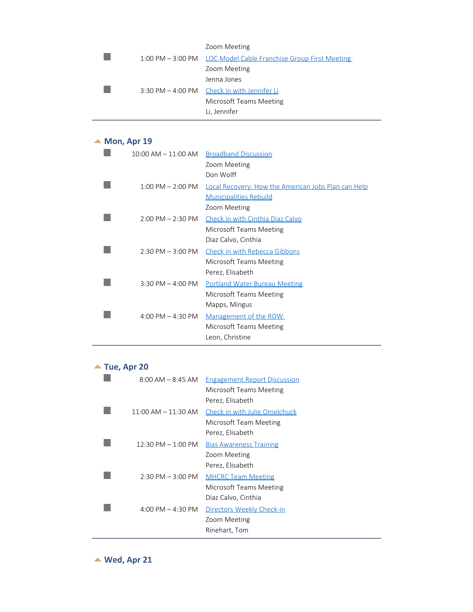|  | Zoom Meeting                                                    |
|--|-----------------------------------------------------------------|
|  | 1:00 PM – 3:00 PM LOC Model Cable Franchise Group First Meeting |
|  | Zoom Meeting                                                    |
|  | Jenna Jones                                                     |
|  | 3:30 PM - 4:00 PM Check in with Jennifer Li                     |
|  | Microsoft Teams Meeting                                         |
|  | Li, Jennifer                                                    |

#### <span id="page-6-0"></span>▲ Mon, Apr 19

| 10:00 AM – 11:00 AM   | <b>Broadband Discussion</b>                                |
|-----------------------|------------------------------------------------------------|
|                       | Zoom Meeting                                               |
|                       | Don Wolff                                                  |
| $1:00$ PM $- 2:00$ PM | <b>Local Recovery: How the American Jobs Plan can Help</b> |
|                       | <b>Municipalities Rebuild</b>                              |
|                       | Zoom Meeting                                               |
| $2:00$ PM $- 2:30$ PM | Check in with Cinthia Diaz Calvo                           |
|                       | Microsoft Teams Meeting                                    |
|                       | Diaz Calvo, Cinthia                                        |
| $2:30$ PM $-3:00$ PM  | Check in with Rebecca Gibbons                              |
|                       | Microsoft Teams Meeting                                    |
|                       | Perez, Elisabeth                                           |
| $3:30$ PM $-$ 4:00 PM | <b>Portland Water Bureau Meeting</b>                       |
|                       | Microsoft Teams Meeting                                    |
|                       | Mapps, Mingus                                              |
| 4:00 PM $-$ 4:30 PM   | Management of the ROW                                      |
|                       | Microsoft Teams Meeting                                    |
|                       | Leon, Christine                                            |

## ▲ Tue, Apr 20

<span id="page-6-1"></span>

| $8:00$ AM $-$ 8:45 AM                | <b>Engagement Report Discussion</b> |
|--------------------------------------|-------------------------------------|
|                                      | Microsoft Teams Meeting             |
|                                      | Perez, Elisabeth                    |
| $11:00$ AM $-11:30$ AM               | Check in with Julie Omelchuck       |
|                                      | Microsoft Team Meeting              |
|                                      | Perez, Elisabeth                    |
| $12:30 \text{ PM} - 1:00 \text{ PM}$ | <b>Bias Awareness Training</b>      |
|                                      | Zoom Meeting                        |
|                                      | Perez, Elisabeth                    |
| $2:30 \text{ PM} - 3:00 \text{ PM}$  | <b>MHCRC Team Meeting</b>           |
|                                      | Microsoft Teams Meeting             |
|                                      | Diaz Calvo, Cinthia                 |
| $4:00 \text{ PM} - 4:30 \text{ PM}$  | Directors Weekly Check-in           |
|                                      | Zoom Meeting                        |
|                                      | Rinehart, Tom                       |

<span id="page-6-2"></span>**Wed, Apr 21**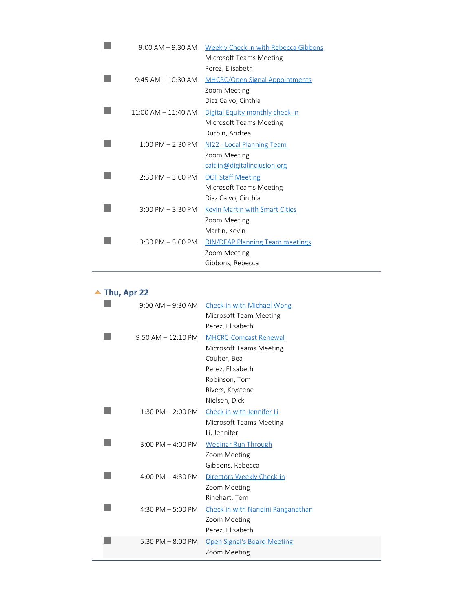| $9:00$ AM $-9:30$ AM    | <b>Weekly Check in with Rebecca Gibbons</b> |
|-------------------------|---------------------------------------------|
|                         | Microsoft Teams Meeting                     |
|                         | Perez, Elisabeth                            |
| $9:45$ AM $-10:30$ AM   | <b>MHCRC/Open Signal Appointments</b>       |
|                         | Zoom Meeting                                |
|                         | Diaz Calvo, Cinthia                         |
| $11:00$ AM $- 11:40$ AM | Digital Equity monthly check-in             |
|                         | Microsoft Teams Meeting                     |
|                         | Durbin, Andrea                              |
| $1:00$ PM $- 2:30$ PM   | NI22 - Local Planning Team                  |
|                         | Zoom Meeting                                |
|                         | caitlin@digitalinclusion.org                |
| $2:30$ PM $-3:00$ PM    | <b>OCT Staff Meeting</b>                    |
|                         | Microsoft Teams Meeting                     |
|                         | Diaz Calvo, Cinthia                         |
| $3:00$ PM $-3:30$ PM    | Kevin Martin with Smart Cities              |
|                         | Zoom Meeting                                |
|                         | Martin, Kevin                               |
| $3:30$ PM $-5:00$ PM    | <b>DIN/DEAP Planning Team meetings</b>      |
|                         | Zoom Meeting                                |
|                         | Gibbons, Rebecca                            |

#### <span id="page-7-0"></span>**▲ Thu, Apr 22**

| $9:00$ AM $-9:30$ AM  | <b>Check in with Michael Wong</b><br>Microsoft Team Meeting<br>Perez, Elisabeth                                                                   |
|-----------------------|---------------------------------------------------------------------------------------------------------------------------------------------------|
| $9:50$ AM $-12:10$ PM | <b>MHCRC-Comcast Renewal</b><br>Microsoft Teams Meeting<br>Coulter, Bea<br>Perez, Elisabeth<br>Robinson, Tom<br>Rivers, Krystene<br>Nielsen, Dick |
| $1:30$ PM $- 2:00$ PM | Check in with Jennifer Li<br>Microsoft Teams Meeting<br>Li, Jennifer                                                                              |
| $3:00$ PM $-$ 4:00 PM | <b>Webinar Run Through</b><br>Zoom Meeting<br>Gibbons, Rebecca                                                                                    |
| 4:00 PM $-$ 4:30 PM   | Directors Weekly Check-in<br>Zoom Meeting<br>Rinehart, Tom                                                                                        |
| 4:30 PM $-5:00$ PM    | Check in with Nandini Ranganathan<br>Zoom Meeting<br>Perez, Elisabeth                                                                             |
| 5:30 PM $-$ 8:00 PM   | <b>Open Signal's Board Meeting</b><br>Zoom Meeting                                                                                                |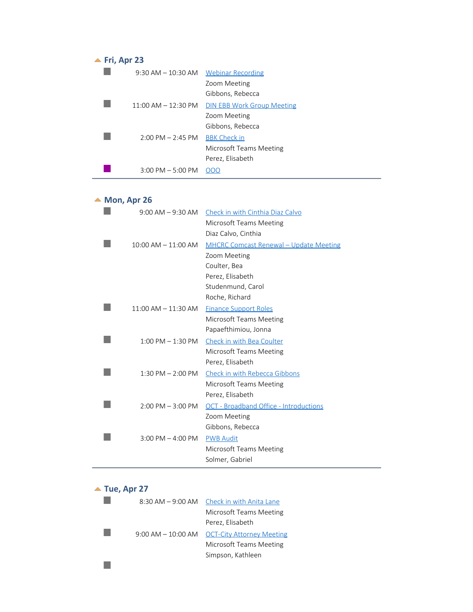<span id="page-8-0"></span>

| $\blacktriangle$ Fri, Apr 23 |                                     |                                   |
|------------------------------|-------------------------------------|-----------------------------------|
|                              | $9:30$ AM $-10:30$ AM               | Webinar Recording                 |
|                              |                                     | Zoom Meeting                      |
|                              |                                     | Gibbons, Rebecca                  |
|                              | $11:00$ AM $- 12:30$ PM             | <b>DIN EBB Work Group Meeting</b> |
|                              |                                     | Zoom Meeting                      |
|                              |                                     | Gibbons, Rebecca                  |
|                              | $2:00 \text{ PM} - 2:45 \text{ PM}$ | <b>BBK Check in</b>               |
|                              |                                     | Microsoft Teams Meeting           |
|                              |                                     | Perez, Elisabeth                  |
|                              | $3:00$ PM $-5:00$ PM                |                                   |
|                              |                                     |                                   |

#### <span id="page-8-1"></span>▲ Mon, Apr 26

| $9:00$ AM $-9:30$ AM    | Check in with Cinthia Diaz Calvo              |
|-------------------------|-----------------------------------------------|
|                         | Microsoft Teams Meeting                       |
|                         | Diaz Calvo, Cinthia                           |
| $10:00$ AM $- 11:00$ AM | <b>MHCRC Comcast Renewal - Update Meeting</b> |
|                         | Zoom Meeting                                  |
|                         | Coulter, Bea                                  |
|                         | Perez, Elisabeth                              |
|                         | Studenmund, Carol                             |
|                         | Roche, Richard                                |
| $11:00$ AM $-11:30$ AM  | <b>Finance Support Roles</b>                  |
|                         | Microsoft Teams Meeting                       |
|                         | Papaefthimiou, Jonna                          |
| $1:00$ PM $- 1:30$ PM   | Check in with Bea Coulter                     |
|                         | Microsoft Teams Meeting                       |
|                         | Perez, Elisabeth                              |
| $1:30$ PM $- 2:00$ PM   | Check in with Rebecca Gibbons                 |
|                         | Microsoft Teams Meeting                       |
|                         | Perez, Elisabeth                              |
| $2:00$ PM $-3:00$ PM    | <b>OCT</b> - Broadband Office - Introductions |
|                         | Zoom Meeting                                  |
|                         | Gibbons, Rebecca                              |
| $3:00$ PM $-$ 4:00 PM   | <b>PWB Audit</b>                              |
|                         | <b>Microsoft Teams Meeting</b>                |
|                         | Solmer, Gabriel                               |
|                         |                                               |

# <span id="page-8-2"></span>**Tue, Apr 27**<br>8:30

| $8:30$ AM $-9:00$ AM  | Check in with Anita Lane         |
|-----------------------|----------------------------------|
|                       | Microsoft Teams Meeting          |
|                       | Perez, Elisabeth                 |
| $9:00$ AM $-10:00$ AM | <b>OCT-City Attorney Meeting</b> |
|                       | Microsoft Teams Meeting          |
|                       | Simpson, Kathleen                |
|                       |                                  |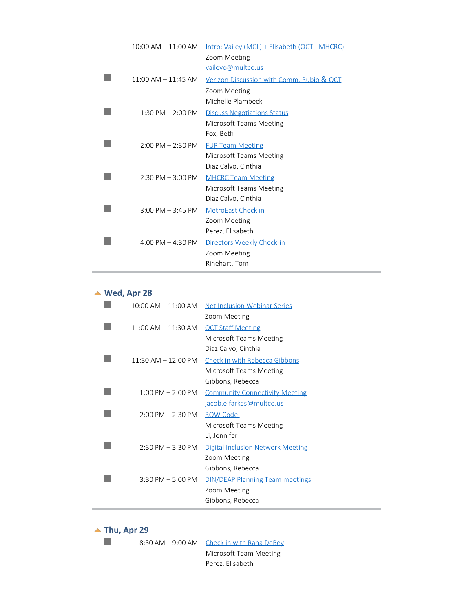| $10:00$ AM $- 11:00$ AM | Intro: Vailey (MCL) + Elisabeth (OCT - MHCRC)        |
|-------------------------|------------------------------------------------------|
|                         | Zoom Meeting                                         |
|                         | vaileyo@multco.us                                    |
| $11:00$ AM $- 11:45$ AM | <u>Verizon Discussion with Comm. Rubio &amp; OCT</u> |
|                         | Zoom Meeting                                         |
|                         | Michelle Plambeck                                    |
| $1:30$ PM $- 2:00$ PM   | <b>Discuss Negotiations Status</b>                   |
|                         | Microsoft Teams Meeting                              |
|                         | Fox, Beth                                            |
| $2:00$ PM $- 2:30$ PM   | <b>FUP Team Meeting</b>                              |
|                         | Microsoft Teams Meeting                              |
|                         | Diaz Calvo, Cinthia                                  |
| $2:30$ PM $-3:00$ PM    | <b>MHCRC Team Meeting</b>                            |
|                         | Microsoft Teams Meeting                              |
|                         | Diaz Calvo, Cinthia                                  |
| $3:00$ PM $-3:45$ PM    | <b>MetroEast Check in</b>                            |
|                         | Zoom Meeting                                         |
|                         | Perez, Elisabeth                                     |
| 4:00 PM $-$ 4:30 PM     | Directors Weekly Check-in                            |
|                         | Zoom Meeting                                         |
|                         | Rinehart, Tom                                        |

#### **Wed, Apr 28**

<span id="page-9-0"></span>

| $10:00$ AM $- 11:00$ AM             | Net Inclusion Webinar Series             |
|-------------------------------------|------------------------------------------|
|                                     | Zoom Meeting                             |
| $11:00$ AM $- 11:30$ AM             | <b>OCT Staff Meeting</b>                 |
|                                     | Microsoft Teams Meeting                  |
|                                     | Diaz Calvo, Cinthia                      |
| $11:30$ AM $- 12:00$ PM             | <b>Check in with Rebecca Gibbons</b>     |
|                                     | Microsoft Teams Meeting                  |
|                                     | Gibbons, Rebecca                         |
| $1:00$ PM $- 2:00$ PM               | <b>Community Connectivity Meeting</b>    |
|                                     | jacob.e.farkas@multco.us                 |
| $2:00$ PM $- 2:30$ PM               | ROW Code                                 |
|                                     | Microsoft Teams Meeting                  |
|                                     | Li, Jennifer                             |
| $2:30 \text{ PM} - 3:30 \text{ PM}$ | <b>Digital Inclusion Network Meeting</b> |
|                                     | Zoom Meeting                             |
|                                     | Gibbons, Rebecca                         |
| $3:30$ PM $-5:00$ PM                | <b>DIN/DEAP Planning Team meetings</b>   |
|                                     | Zoom Meeting                             |
|                                     | Gibbons, Rebecca                         |

<span id="page-9-1"></span>▲ Thu, Apr 29

 $\mathbb{R}^3$ 

8:30 AM – 9:00 AM Check in with Rana DeBey Microsoft Team Meeting Perez, Elisabeth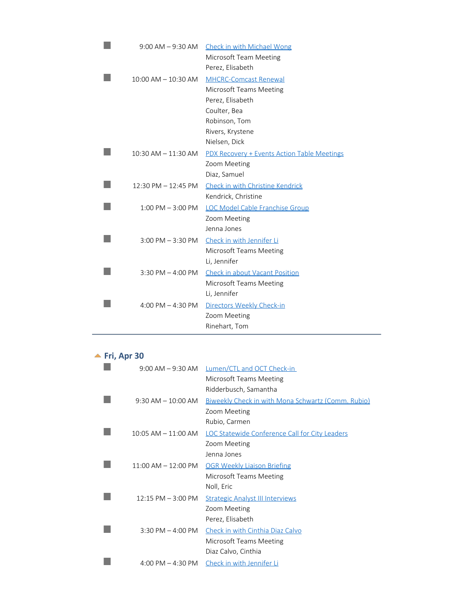| $9:00$ AM $-9:30$ AM    | <b>Check in with Michael Wong</b>           |
|-------------------------|---------------------------------------------|
|                         | Microsoft Team Meeting                      |
|                         | Perez, Elisabeth                            |
| $10:00$ AM $- 10:30$ AM | <b>MHCRC-Comcast Renewal</b>                |
|                         | Microsoft Teams Meeting                     |
|                         | Perez, Elisabeth                            |
|                         | Coulter, Bea                                |
|                         | Robinson, Tom                               |
|                         | Rivers, Krystene                            |
|                         | Nielsen, Dick                               |
| $10:30$ AM $- 11:30$ AM | PDX Recovery + Events Action Table Meetings |
|                         | Zoom Meeting                                |
|                         | Diaz, Samuel                                |
| $12:30$ PM $- 12:45$ PM | Check in with Christine Kendrick            |
|                         | Kendrick, Christine                         |
| $1:00$ PM $-3:00$ PM    | <b>LOC Model Cable Franchise Group</b>      |
|                         | Zoom Meeting                                |
|                         | Jenna Jones                                 |
| $3:00$ PM $-3:30$ PM    | Check in with Jennifer Li                   |
|                         | Microsoft Teams Meeting                     |
|                         | Li, Jennifer                                |
| 3:30 PM $-$ 4:00 PM     | <b>Check in about Vacant Position</b>       |
|                         | Microsoft Teams Meeting                     |
|                         | Li, Jennifer                                |
| 4:00 PM $-$ 4:30 PM     | Directors Weekly Check-in                   |
|                         | Zoom Meeting                                |
|                         | Rinehart, Tom                               |
|                         |                                             |

## <span id="page-10-0"></span>**<u>▲ Fri, Apr 30</u>**

| $9:00$ AM $-9:30$ AM                | Lumen/CTL and OCT Check-in                                |
|-------------------------------------|-----------------------------------------------------------|
|                                     | Microsoft Teams Meeting                                   |
|                                     | Ridderbusch, Samantha                                     |
| $9:30$ AM $-10:00$ AM               | <u>Biweekly Check in with Mona Schwartz (Comm. Rubio)</u> |
|                                     | Zoom Meeting                                              |
|                                     | Rubio, Carmen                                             |
| $10:05$ AM $- 11:00$ AM             | <b>LOC Statewide Conference Call for City Leaders</b>     |
|                                     | Zoom Meeting                                              |
|                                     | Jenna Jones                                               |
| $11:00$ AM $- 12:00$ PM             | <b>OGR Weekly Liaison Briefing</b>                        |
|                                     | Microsoft Teams Meeting                                   |
|                                     | Noll, Eric                                                |
| $12:15$ PM $-$ 3:00 PM              | <b>Strategic Analyst III Interviews</b>                   |
|                                     | Zoom Meeting                                              |
|                                     | Perez, Elisabeth                                          |
| $3:30$ PM $-$ 4:00 PM               | Check in with Cinthia Diaz Calvo                          |
|                                     | Microsoft Teams Meeting                                   |
|                                     | Diaz Calvo, Cinthia                                       |
| $4:00 \text{ PM} - 4:30 \text{ PM}$ | Check in with Jennifer Li                                 |
|                                     |                                                           |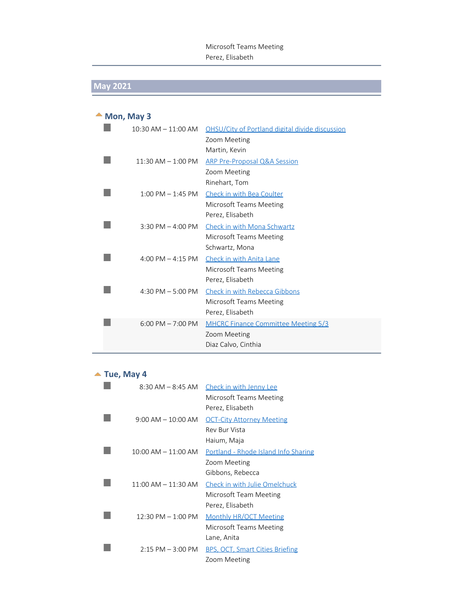#### Microsoft Teams Meeting Perez, Elisabeth

# **May 2021**

<span id="page-11-0"></span>

| Mon, May 3              |                                                 |  |
|-------------------------|-------------------------------------------------|--|
| $10:30$ AM $- 11:00$ AM | OHSU/City of Portland digital divide discussion |  |
|                         | Zoom Meeting                                    |  |
|                         | Martin, Kevin                                   |  |
| $11:30$ AM $- 1:00$ PM  | <b>ARP Pre-Proposal Q&amp;A Session</b>         |  |
|                         | Zoom Meeting                                    |  |
|                         | Rinehart, Tom                                   |  |
| $1:00$ PM $-1:45$ PM    | Check in with Bea Coulter                       |  |
|                         | Microsoft Teams Meeting                         |  |
|                         | Perez, Elisabeth                                |  |
| 3:30 PM $-$ 4:00 PM     | <b>Check in with Mona Schwartz</b>              |  |
|                         | Microsoft Teams Meeting                         |  |
|                         | Schwartz, Mona                                  |  |
| 4:00 PM $-$ 4:15 PM     | Check in with Anita Lane                        |  |
|                         | Microsoft Teams Meeting                         |  |
|                         | Perez, Elisabeth                                |  |
| 4:30 PM $-$ 5:00 PM     | Check in with Rebecca Gibbons                   |  |
|                         | Microsoft Teams Meeting                         |  |
|                         | Perez, Elisabeth                                |  |
| $6:00$ PM $- 7:00$ PM   | MHCRC Finance Committee Meeting 5/3             |  |
|                         | Zoom Meeting                                    |  |
|                         | Diaz Calvo, Cinthia                             |  |

#### <span id="page-11-1"></span>▲ Tue, May 4

| $8:30$ AM $-$ 8:45 AM                | Check in with Jenny Lee                     |
|--------------------------------------|---------------------------------------------|
|                                      | Microsoft Teams Meeting                     |
|                                      | Perez, Elisabeth                            |
| $9:00 \text{ AM} - 10:00 \text{ AM}$ | <b>OCT-City Attorney Meeting</b>            |
|                                      | <b>Rev Bur Vista</b>                        |
|                                      | Haium, Maja                                 |
| $10:00$ AM $- 11:00$ AM              | <b>Portland - Rhode Island Info Sharing</b> |
|                                      | Zoom Meeting                                |
|                                      | Gibbons, Rebecca                            |
| $11:00$ AM $- 11:30$ AM              | Check in with Julie Omelchuck               |
|                                      | Microsoft Team Meeting                      |
|                                      | Perez, Elisabeth                            |
| 12:30 PM - 1:00 PM                   | <b>Monthly HR/OCT Meeting</b>               |
|                                      | Microsoft Teams Meeting                     |
|                                      | Lane, Anita                                 |
| $2:15$ PM $-3:00$ PM                 | <b>BPS, OCT, Smart Cities Briefing</b>      |
|                                      | Zoom Meeting                                |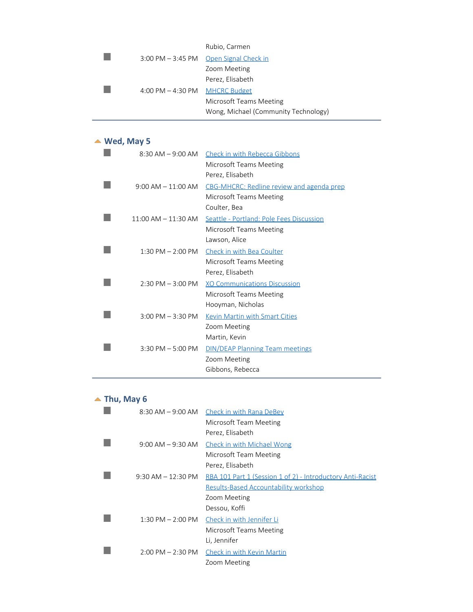|                                | Rubio, Carmen                        |
|--------------------------------|--------------------------------------|
| $3:00$ PM $-3:45$ PM           | Open Signal Check in                 |
|                                | Zoom Meeting                         |
|                                | Perez, Elisabeth                     |
| 4:00 PM - 4:30 PM MHCRC Budget |                                      |
|                                | Microsoft Teams Meeting              |
|                                | Wong, Michael (Community Technology) |

#### <span id="page-12-0"></span>**Wed, May 5**

| 8:30 AM – 9:00 AM       | <b>Check in with Rebecca Gibbons</b>      |
|-------------------------|-------------------------------------------|
|                         | Microsoft Teams Meeting                   |
|                         | Perez, Elisabeth                          |
| $9:00$ AM $-11:00$ AM   | CBG-MHCRC: Redline review and agenda prep |
|                         | Microsoft Teams Meeting                   |
|                         | Coulter, Bea                              |
| $11:00$ AM $- 11:30$ AM | Seattle - Portland: Pole Fees Discussion  |
|                         | Microsoft Teams Meeting                   |
|                         | Lawson, Alice                             |
| $1:30$ PM $- 2:00$ PM   | Check in with Bea Coulter                 |
|                         | Microsoft Teams Meeting                   |
|                         | Perez, Elisabeth                          |
| $2:30$ PM $-3:00$ PM    | <b>XO Communications Discussion</b>       |
|                         | Microsoft Teams Meeting                   |
|                         | Hooyman, Nicholas                         |
| $3:00$ PM $-3:30$ PM    | Kevin Martin with Smart Cities            |
|                         | Zoom Meeting                              |
|                         | Martin, Kevin                             |
| $3:30$ PM $-5:00$ PM    | <b>DIN/DEAP Planning Team meetings</b>    |
|                         | Zoom Meeting                              |
|                         | Gibbons, Rebecca                          |

# <span id="page-12-1"></span> $\blacktriangle$  Thu, May 6

| 8:30 AM – 9:00 AM     | Check in with Rana DeBey<br>Microsoft Team Meeting<br>Perez, Elisabeth                                     |
|-----------------------|------------------------------------------------------------------------------------------------------------|
| $9:00$ AM $-9:30$ AM  | <b>Check in with Michael Wong</b>                                                                          |
|                       | Microsoft Team Meeting<br>Perez, Elisabeth                                                                 |
| $9:30$ AM $-12:30$ PM | RBA 101 Part 1 (Session 1 of 2) - Introductory Anti-Racist<br><b>Results-Based Accountability workshop</b> |
|                       | Zoom Meeting<br>Dessou, Koffi                                                                              |
| $1:30$ PM $- 2:00$ PM | Check in with Jennifer Li                                                                                  |
|                       | Microsoft Teams Meeting<br>Li, Jennifer                                                                    |
| $2:00$ PM $- 2:30$ PM | Check in with Kevin Martin<br>Zoom Meeting                                                                 |
|                       |                                                                                                            |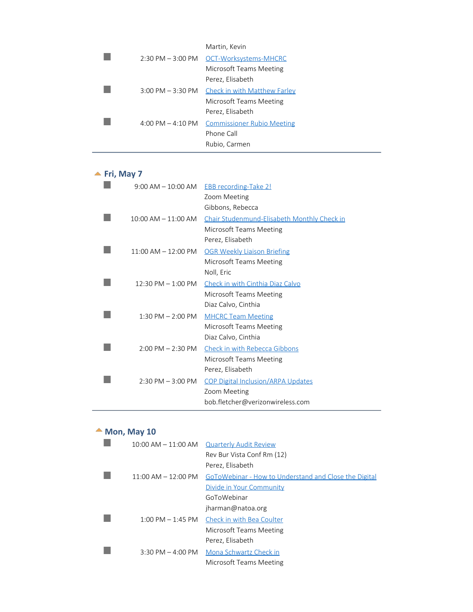|                                     | Martin, Kevin                                |
|-------------------------------------|----------------------------------------------|
|                                     | 2:30 PM - 3:00 PM OCT-Worksystems-MHCRC      |
|                                     | Microsoft Teams Meeting                      |
|                                     | Perez, Elisabeth                             |
| $3:00 \text{ PM} - 3:30 \text{ PM}$ | <b>Check in with Matthew Farley</b>          |
|                                     | Microsoft Teams Meeting                      |
|                                     | Perez, Elisabeth                             |
|                                     | 4:00 PM – 4:10 PM Commissioner Rubio Meeting |
|                                     | Phone Call                                   |
|                                     | Rubio, Carmen                                |

#### <span id="page-13-0"></span>**<u>A</u>** Fri, May 7

| $9:00$ AM $-10:00$ AM               | <b>EBB</b> recording-Take 2!                       |
|-------------------------------------|----------------------------------------------------|
|                                     | Zoom Meeting                                       |
|                                     | Gibbons, Rebecca                                   |
| $10:00$ AM $- 11:00$ AM             | <b>Chair Studenmund-Elisabeth Monthly Check in</b> |
|                                     | Microsoft Teams Meeting                            |
|                                     | Perez, Elisabeth                                   |
| $11:00$ AM $- 12:00$ PM             | <b>OGR Weekly Liaison Briefing</b>                 |
|                                     | Microsoft Teams Meeting                            |
|                                     | Noll, Eric                                         |
| $12:30$ PM $-1:00$ PM               | Check in with Cinthia Diaz Calvo                   |
|                                     | Microsoft Teams Meeting                            |
|                                     | Diaz Calvo, Cinthia                                |
| 1:30 PM $-$ 2:00 PM                 | <b>MHCRC Team Meeting</b>                          |
|                                     | Microsoft Teams Meeting                            |
|                                     | Diaz Calvo, Cinthia                                |
| $2:00 \text{ PM} - 2:30 \text{ PM}$ | <b>Check in with Rebecca Gibbons</b>               |
|                                     | Microsoft Teams Meeting                            |
|                                     | Perez, Elisabeth                                   |
| $2:30$ PM $-3:00$ PM                | <b>COP Digital Inclusion/ARPA Updates</b>          |
|                                     | Zoom Meeting                                       |
|                                     | bob.fletcher@verizonwireless.com                   |

# <span id="page-13-1"></span>**Mon, May 10**

| $10:00$ AM $- 11:00$ AM | <b>Quarterly Audit Review</b>                         |
|-------------------------|-------------------------------------------------------|
|                         | Rev Bur Vista Conf Rm (12)                            |
|                         | Perez, Elisabeth                                      |
| $11:00$ AM $- 12:00$ PM | GoToWebinar - How to Understand and Close the Digital |
|                         | Divide in Your Community                              |
|                         | GoToWebinar                                           |
|                         | jharman@natoa.org                                     |
| $1:00$ PM $-1:45$ PM    | Check in with Bea Coulter                             |
|                         | Microsoft Teams Meeting                               |
|                         | Perez, Elisabeth                                      |
| $3:30$ PM $-$ 4:00 PM   | Mona Schwartz Check in                                |
|                         | Microsoft Teams Meeting                               |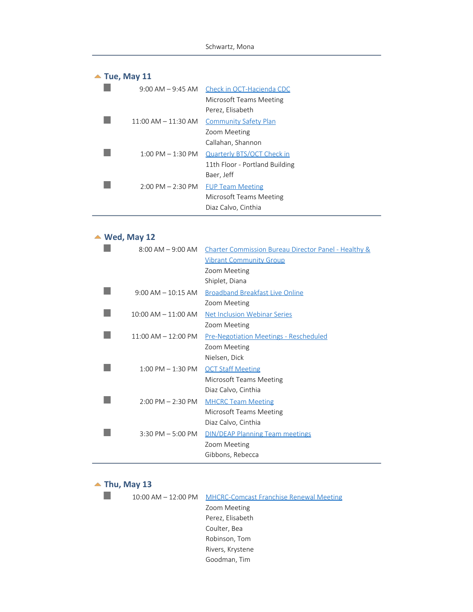<span id="page-14-0"></span>

| $\triangle$ Tue, May 11 |                                     |                                             |
|-------------------------|-------------------------------------|---------------------------------------------|
|                         |                                     | 9:00 AM – 9:45 AM Check in OCT-Hacienda CDC |
|                         |                                     | Microsoft Teams Meeting                     |
|                         |                                     | Perez, Elisabeth                            |
|                         | $11:00$ AM $-11:30$ AM              | <b>Community Safety Plan</b>                |
|                         |                                     | Zoom Meeting                                |
|                         |                                     | Callahan, Shannon                           |
|                         | $1:00 \text{ PM} - 1:30 \text{ PM}$ | Quarterly BTS/OCT Check in                  |
|                         |                                     | 11th Floor - Portland Building              |
|                         |                                     | Baer, Jeff                                  |
|                         | $2:00$ PM $- 2:30$ PM               | <b>FUP Team Meeting</b>                     |
|                         |                                     | Microsoft Teams Meeting                     |
|                         |                                     | Diaz Calvo, Cinthia                         |

#### **Wed, May 12**

<span id="page-14-1"></span>

| $8:00$ AM $-9:00$ AM    | Charter Commission Bureau Director Panel - Healthy & |
|-------------------------|------------------------------------------------------|
|                         | <b>Vibrant Community Group</b>                       |
|                         | Zoom Meeting                                         |
|                         | Shiplet, Diana                                       |
| $9:00$ AM $-10:15$ AM   | <b>Broadband Breakfast Live Online</b>               |
|                         | Zoom Meeting                                         |
| $10:00$ AM $- 11:00$ AM | <b>Net Inclusion Webinar Series</b>                  |
|                         | Zoom Meeting                                         |
| $11:00$ AM $- 12:00$ PM | <b>Pre-Negotiation Meetings - Rescheduled</b>        |
|                         | Zoom Meeting                                         |
|                         | Nielsen, Dick                                        |
| $1:00$ PM $- 1:30$ PM   | <b>OCT Staff Meeting</b>                             |
|                         | Microsoft Teams Meeting                              |
|                         | Diaz Calvo, Cinthia                                  |
| $2:00$ PM $- 2:30$ PM   | <b>MHCRC Team Meeting</b>                            |
|                         | Microsoft Teams Meeting                              |
|                         | Diaz Calvo, Cinthia                                  |
| $3:30$ PM $-5:00$ PM    | <b>DIN/DEAP Planning Team meetings</b>               |
|                         | Zoom Meeting                                         |
|                         | Gibbons, Rebecca                                     |
|                         |                                                      |

#### <span id="page-14-2"></span> $\blacktriangle$  Thu, May 13

П

|  | 10:00 AM - 12:00 PM MHCRC-Comcast Franchise Renewal Meeting |
|--|-------------------------------------------------------------|
|  | Zoom Meeting                                                |
|  | Perez, Elisabeth                                            |
|  | Coulter, Bea                                                |
|  | Robinson, Tom                                               |
|  | Rivers, Krystene                                            |
|  | Goodman, Tim                                                |
|  |                                                             |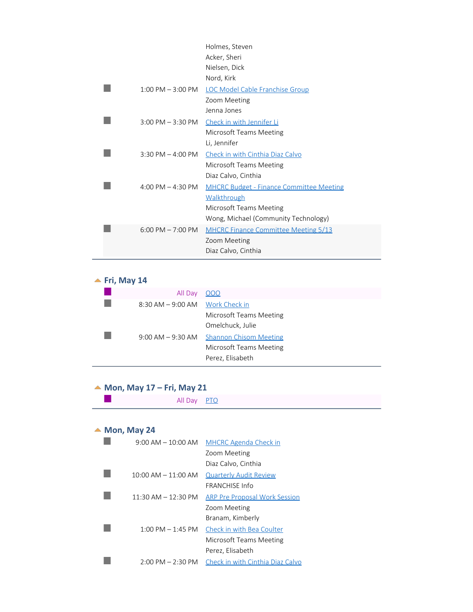|                                     | Holmes, Steven                                  |
|-------------------------------------|-------------------------------------------------|
|                                     | Acker, Sheri                                    |
|                                     | Nielsen, Dick                                   |
|                                     | Nord, Kirk                                      |
| $1:00 \text{ PM} - 3:00 \text{ PM}$ | <b>LOC Model Cable Franchise Group</b>          |
|                                     | Zoom Meeting                                    |
|                                     | Jenna Jones                                     |
| $3:00$ PM $-3:30$ PM                | Check in with Jennifer Li                       |
|                                     | Microsoft Teams Meeting                         |
|                                     | Li, Jennifer                                    |
| $3:30$ PM $-$ 4:00 PM               | Check in with Cinthia Diaz Calvo                |
|                                     | Microsoft Teams Meeting                         |
|                                     | Diaz Calvo, Cinthia                             |
| $4:00 \text{ PM} - 4:30 \text{ PM}$ | <b>MHCRC Budget - Finance Committee Meeting</b> |
|                                     | <b>Walkthrough</b>                              |
|                                     | Microsoft Teams Meeting                         |
|                                     | Wong, Michael (Community Technology)            |
| $6:00$ PM $- 7:00$ PM               | <b>MHCRC Finance Committee Meeting 5/13</b>     |
|                                     | Zoom Meeting                                    |
|                                     | Diaz Calvo, Cinthia                             |

#### <span id="page-15-0"></span>**Fri, May 14**

| All Day                            | 000                           |
|------------------------------------|-------------------------------|
| $8:30$ AM $-9:00$ AM Work Check in |                               |
|                                    | Microsoft Teams Meeting       |
|                                    | Omelchuck, Julie              |
| $9:00$ AM $-9:30$ AM               | <b>Shannon Chisom Meeting</b> |
|                                    | Microsoft Teams Meeting       |
|                                    | Perez, Elisabeth              |

#### <span id="page-15-1"></span>**Mon, May 17 – Fri, May 21**

All Day PTO

#### <span id="page-15-2"></span>▲ Mon, May 24

 $\mathcal{L}_{\mathcal{A}}$ 

| $9:00$ AM $-10:00$ AM               | <b>MHCRC Agenda Check in</b>         |
|-------------------------------------|--------------------------------------|
|                                     | Zoom Meeting                         |
|                                     | Diaz Calvo, Cinthia                  |
| $10:00$ AM $-11:00$ AM              | <b>Quarterly Audit Review</b>        |
|                                     | <b>FRANCHISE Info</b>                |
| $11:30$ AM $- 12:30$ PM             | <b>ARP Pre Proposal Work Session</b> |
|                                     | Zoom Meeting                         |
|                                     | Branam, Kimberly                     |
| $1:00 \text{ PM} - 1:45 \text{ PM}$ | Check in with Bea Coulter            |
|                                     | Microsoft Teams Meeting              |
|                                     | Perez, Elisabeth                     |
| $2:00 \text{ PM} - 2:30 \text{ PM}$ | Check in with Cinthia Diaz Calvo     |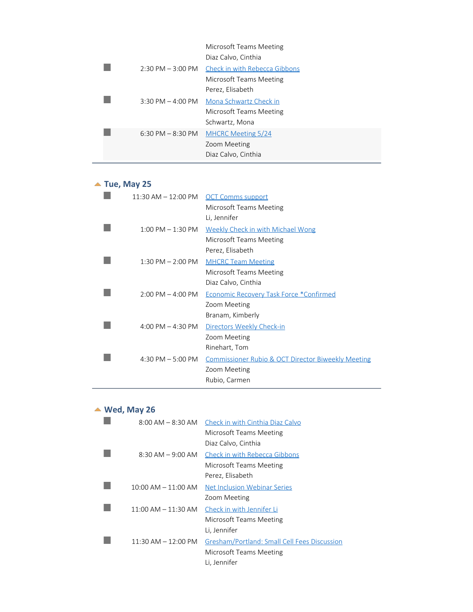|                                     | Microsoft Teams Meeting<br>Diaz Calvo, Cinthia                      |
|-------------------------------------|---------------------------------------------------------------------|
| $2:30$ PM $-3:00$ PM                | Check in with Rebecca Gibbons<br>Microsoft Teams Meeting            |
|                                     | Perez, Elisabeth                                                    |
| $3:30$ PM $-$ 4:00 PM               | Mona Schwartz Check in<br>Microsoft Teams Meeting<br>Schwartz, Mona |
| $6:30 \text{ PM} - 8:30 \text{ PM}$ | <b>MHCRC Meeting 5/24</b><br>Zoom Meeting<br>Diaz Calvo, Cinthia    |

# <span id="page-16-0"></span>▲ Tue, May 25

| $11:30$ AM $-12:00$ PM              | <b>OCT Comms support</b>                                      |
|-------------------------------------|---------------------------------------------------------------|
|                                     | Microsoft Teams Meeting                                       |
|                                     | Li, Jennifer                                                  |
| $1:00 \text{ PM} - 1:30 \text{ PM}$ | Weekly Check in with Michael Wong                             |
|                                     | Microsoft Teams Meeting                                       |
|                                     | Perez, Elisabeth                                              |
| $1:30$ PM $- 2:00$ PM               | <b>MHCRC Team Meeting</b>                                     |
|                                     | Microsoft Teams Meeting                                       |
|                                     | Diaz Calvo, Cinthia                                           |
| $2:00 \text{ PM} - 4:00 \text{ PM}$ | Economic Recovery Task Force *Confirmed                       |
|                                     | Zoom Meeting                                                  |
|                                     | Branam, Kimberly                                              |
| $4:00 \text{ PM} - 4:30 \text{ PM}$ | Directors Weekly Check-in                                     |
|                                     | Zoom Meeting                                                  |
|                                     | Rinehart, Tom                                                 |
| 4:30 PM $-5:00$ PM                  | <b>Commissioner Rubio &amp; OCT Director Biweekly Meeting</b> |
|                                     | Zoom Meeting                                                  |
|                                     | Rubio, Carmen                                                 |

#### <span id="page-16-1"></span>**Wed, May 26**

| $8:00$ AM $-$ 8:30 AM   | Check in with Cinthia Diaz Calvo             |
|-------------------------|----------------------------------------------|
|                         | Microsoft Teams Meeting                      |
|                         | Diaz Calvo, Cinthia                          |
| $8:30$ AM $-9:00$ AM    | <b>Check in with Rebecca Gibbons</b>         |
|                         | Microsoft Teams Meeting                      |
|                         | Perez, Elisabeth                             |
| $10:00$ AM $- 11:00$ AM | Net Inclusion Webinar Series                 |
|                         | Zoom Meeting                                 |
| $11:00$ AM $- 11:30$ AM | Check in with Jennifer Li                    |
|                         | Microsoft Teams Meeting                      |
|                         | Li, Jennifer                                 |
| $11:30$ AM $- 12:00$ PM | Gresham/Portland: Small Cell Fees Discussion |
|                         | Microsoft Teams Meeting                      |
|                         | Li, Jennifer                                 |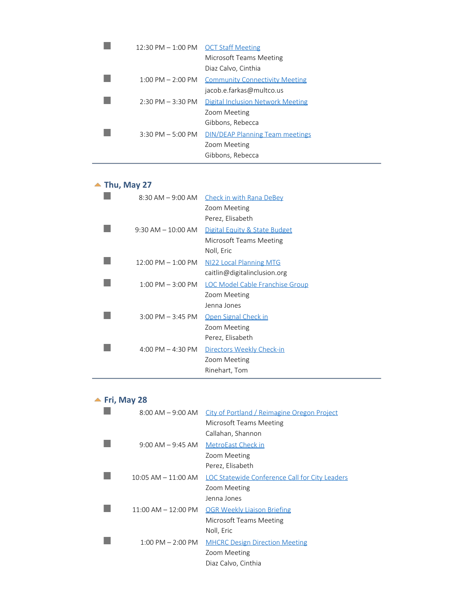| 12:30 PM - 1:00 PM OCT Staff Meeting |                                        |
|--------------------------------------|----------------------------------------|
|                                      | Microsoft Teams Meeting                |
|                                      | Diaz Calvo, Cinthia                    |
| $1:00 \text{ PM} - 2:00 \text{ PM}$  | <b>Community Connectivity Meeting</b>  |
|                                      | jacob.e.farkas@multco.us               |
| $2:30 \text{ PM} - 3:30 \text{ PM}$  | Digital Inclusion Network Meeting      |
|                                      | Zoom Meeting                           |
|                                      | Gibbons, Rebecca                       |
| $3:30$ PM $-5:00$ PM                 | <b>DIN/DEAP Planning Team meetings</b> |
|                                      | Zoom Meeting                           |
|                                      | Gibbons, Rebecca                       |

# <span id="page-17-0"></span>▲ Thu, May 27

| $8:30$ AM $-9:00$ AM   | <b>Check in with Rana DeBey</b>          |
|------------------------|------------------------------------------|
|                        | Zoom Meeting                             |
|                        | Perez, Elisabeth                         |
| $9:30$ AM $-10:00$ AM  | <b>Digital Equity &amp; State Budget</b> |
|                        | Microsoft Teams Meeting                  |
|                        | Noll, Eric                               |
| $12:00$ PM $- 1:00$ PM | NI22 Local Planning MTG                  |
|                        | caitlin@digitalinclusion.org             |
| $1:00$ PM $-3:00$ PM   | <b>LOC Model Cable Franchise Group</b>   |
|                        | Zoom Meeting                             |
|                        | Jenna Jones                              |
| $3:00$ PM $-3:45$ PM   | Open Signal Check in                     |
|                        | Zoom Meeting                             |
|                        | Perez, Elisabeth                         |
| 4:00 PM $-$ 4:30 PM    | Directors Weekly Check-in                |
|                        | Zoom Meeting                             |
|                        | Rinehart, Tom                            |

## <span id="page-17-1"></span>**<u>▲ Fri, May 28</u>**

| $8:00$ AM $-9:00$ AM    | City of Portland / Reimagine Oregon Project    |
|-------------------------|------------------------------------------------|
|                         | Microsoft Teams Meeting                        |
|                         | Callahan, Shannon                              |
| $9:00$ AM $-9:45$ AM    | MetroEast Check in                             |
|                         | Zoom Meeting                                   |
|                         | Perez, Elisabeth                               |
| $10:05$ AM $- 11:00$ AM | LOC Statewide Conference Call for City Leaders |
|                         | Zoom Meeting                                   |
|                         | Jenna Jones                                    |
| $11:00$ AM $- 12:00$ PM | <b>OGR Weekly Liaison Briefing</b>             |
|                         | Microsoft Teams Meeting                        |
|                         | Noll, Eric                                     |
| $1:00$ PM $- 2:00$ PM   | <b>MHCRC Design Direction Meeting</b>          |
|                         | Zoom Meeting                                   |
|                         | Diaz Calvo, Cinthia                            |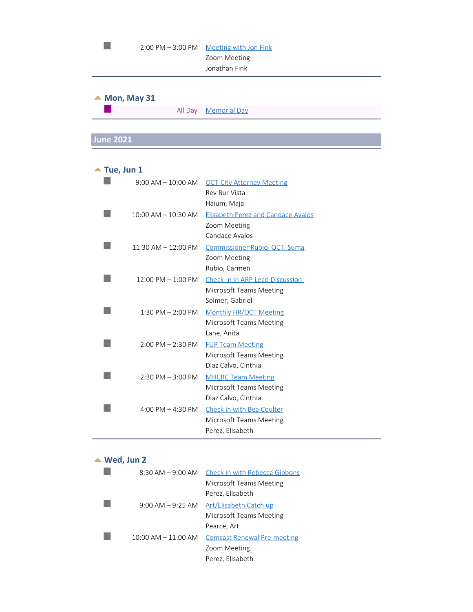<span id="page-18-1"></span><span id="page-18-0"></span>

| $2:00$ PM $-3:00$ PM        | <b>Meeting with Jon Fink</b><br>Zoom Meeting<br>Jonathan Fink                 |
|-----------------------------|-------------------------------------------------------------------------------|
| $\triangle$ Mon, May 31     |                                                                               |
| All Day                     | <b>Memorial Day</b>                                                           |
|                             |                                                                               |
| <b>June 2021</b>            |                                                                               |
|                             |                                                                               |
| $\blacktriangle$ Tue, Jun 1 |                                                                               |
| $9:00$ AM $-10:00$ AM       | <b>OCT-City Attorney Meeting</b><br>Rev Bur Vista<br>Haium, Maja              |
| $10:00$ AM $- 10:30$ AM     | <b>Elisabeth Perez and Candace Avalos</b><br>Zoom Meeting<br>Candace Avalos   |
| $11:30$ AM $- 12:00$ PM     | Commissioner Rubio, OCT, Suma<br>Zoom Meeting<br>Rubio, Carmen                |
| $12:00$ PM $-1:00$ PM       | Check-in in ARP Lead Discussion<br>Microsoft Teams Meeting<br>Solmer, Gabriel |
| $1:30$ PM $- 2:00$ PM       | <b>Monthly HR/OCT Meeting</b><br>Microsoft Teams Meeting<br>Lane, Anita       |
| $2:00$ PM $- 2:30$ PM       | <b>FUP Team Meeting</b><br>Microsoft Teams Meeting<br>Diaz Calvo, Cinthia     |

# <span id="page-18-2"></span>**Wed, Jun 2**

 $\mathbb{R}^3$ 

 $\mathbb{R}^3$ 

|                         | 8:30 AM - 9:00 AM Check in with Rebecca Gibbons |
|-------------------------|-------------------------------------------------|
|                         | Microsoft Teams Meeting                         |
|                         | Perez, Elisabeth                                |
| $9:00$ AM $-9:25$ AM    | Art/Elisabeth Catch up                          |
|                         | Microsoft Teams Meeting                         |
|                         | Pearce, Art                                     |
| $10:00$ AM $- 11:00$ AM | <b>Comcast Renewal Pre-meeting</b>              |
|                         | Zoom Meeting                                    |
|                         | Perez, Elisabeth                                |

2:30 PM – 3:00 PM MHCRC Team Meeting

4:00 PM – 4:30 PM Check in with Bea Coulter

Microsoft Teams Meeting

Microsoft Teams Meeting

Diaz Calvo, Cinthia

Perez, Elisabeth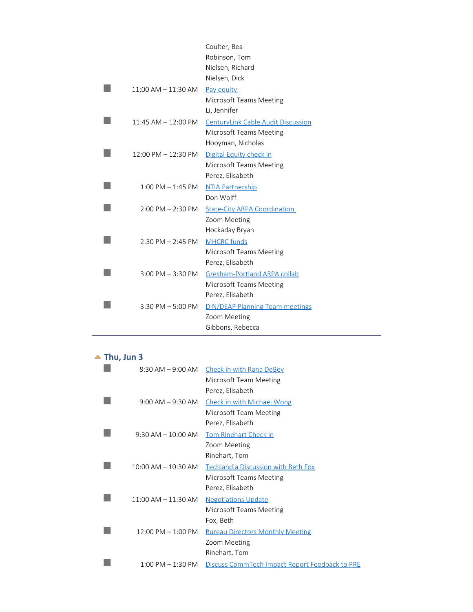|                         | Coulter, Bea                              |
|-------------------------|-------------------------------------------|
|                         | Robinson, Tom                             |
|                         | Nielsen, Richard                          |
|                         | Nielsen, Dick                             |
| $11:00$ AM $-11:30$ AM  | Pay equity                                |
|                         | Microsoft Teams Meeting                   |
|                         | Li, Jennifer                              |
| $11:45$ AM $- 12:00$ PM | <b>CenturyLink Cable Audit Discussion</b> |
|                         | Microsoft Teams Meeting                   |
|                         | Hooyman, Nicholas                         |
| $12:00$ PM $- 12:30$ PM | Digital Equity check in                   |
|                         | <b>Microsoft Teams Meeting</b>            |
|                         | Perez, Elisabeth                          |
| $1:00$ PM $-1:45$ PM    | <b>NTIA Partnership</b>                   |
|                         | Don Wolff                                 |
| $2:00$ PM $- 2:30$ PM   | <b>State-City ARPA Coordination</b>       |
|                         | Zoom Meeting                              |
|                         | Hockaday Bryan                            |
| $2:30$ PM $- 2:45$ PM   | <b>MHCRC</b> funds                        |
|                         | <b>Microsoft Teams Meeting</b>            |
|                         | Perez, Elisabeth                          |
| $3:00$ PM $-3:30$ PM    | Gresham-Portland ARPA collab              |
|                         | Microsoft Teams Meeting                   |
|                         | Perez, Elisabeth                          |
| $3:30$ PM $-5:00$ PM    | <b>DIN/DEAP Planning Team meetings</b>    |
|                         | Zoom Meeting                              |
|                         | Gibbons, Rebecca                          |

## <span id="page-19-0"></span> $\blacktriangle$  Thu, Jun 3

| $8:30$ AM $-$ 9:00 AM   | <b>Check in with Rana DeBey</b>                |
|-------------------------|------------------------------------------------|
|                         | Microsoft Team Meeting                         |
|                         | Perez, Elisabeth                               |
| $9:00$ AM $-9:30$ AM    | <b>Check in with Michael Wong</b>              |
|                         | Microsoft Team Meeting                         |
|                         | Perez, Elisabeth                               |
| $9:30$ AM $-10:00$ AM   | <b>Tom Rinehart Check in</b>                   |
|                         | Zoom Meeting                                   |
|                         | Rinehart, Tom                                  |
| $10:00$ AM $- 10:30$ AM | Techlandia Discussion with Beth Fox            |
|                         | Microsoft Teams Meeting                        |
|                         | Perez, Elisabeth                               |
| $11:00$ AM $-11:30$ AM  | <b>Negotiations Update</b>                     |
|                         | Microsoft Teams Meeting                        |
|                         | Fox, Beth                                      |
| $12:00$ PM $- 1:00$ PM  | <b>Bureau Directors Monthly Meeting</b>        |
|                         | Zoom Meeting                                   |
|                         | Rinehart, Tom                                  |
| $1:00$ PM $-1:30$ PM    | Discuss CommTech Impact Report Feedback to PRE |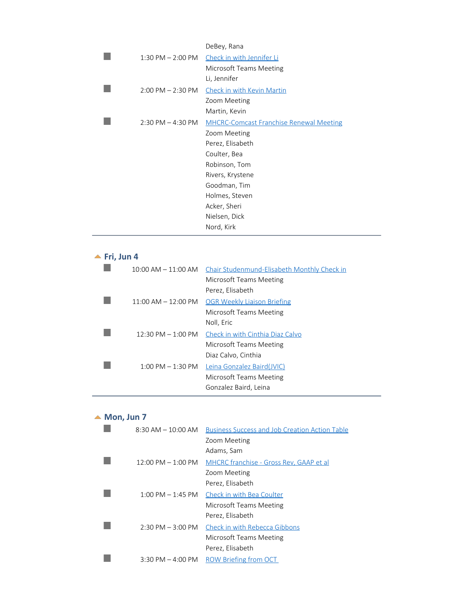|                       | DeBey, Rana                                    |
|-----------------------|------------------------------------------------|
| $1:30$ PM $- 2:00$ PM | Check in with Jennifer Li                      |
|                       | Microsoft Teams Meeting                        |
|                       | Li, Jennifer                                   |
| $2:00$ PM $- 2:30$ PM | Check in with Kevin Martin                     |
|                       | Zoom Meeting                                   |
|                       | Martin, Kevin                                  |
| $2:30$ PM $- 4:30$ PM | <b>MHCRC-Comcast Franchise Renewal Meeting</b> |
|                       | Zoom Meeting                                   |
|                       | Perez, Elisabeth                               |
|                       | Coulter, Bea                                   |
|                       | Robinson, Tom                                  |
|                       | Rivers, Krystene                               |
|                       | Goodman, Tim                                   |
|                       | Holmes, Steven                                 |
|                       | Acker, Sheri                                   |
|                       | Nielsen, Dick                                  |
|                       | Nord, Kirk                                     |

# **Fri, Jun 4**

<span id="page-20-0"></span>

| $10:00$ AM $- 11:00$ AM               | Chair Studenmund-Elisabeth Monthly Check in |
|---------------------------------------|---------------------------------------------|
|                                       | Microsoft Teams Meeting                     |
|                                       | Perez, Elisabeth                            |
| $11:00 \text{ AM} - 12:00 \text{ PM}$ | <b>OGR Weekly Liaison Briefing</b>          |
|                                       | Microsoft Teams Meeting                     |
|                                       | Noll, Eric                                  |
| $12:30$ PM $- 1:00$ PM                | Check in with Cinthia Diaz Calvo            |
|                                       | Microsoft Teams Meeting                     |
|                                       | Diaz Calvo, Cinthia                         |
| $1:00 \text{ PM} - 1:30 \text{ PM}$   | Leina Gonzalez Baird(JVIC)                  |
|                                       | Microsoft Teams Meeting                     |
|                                       | Gonzalez Baird, Leina                       |
|                                       |                                             |

# <span id="page-20-1"></span> $\triangle$  Mon, Jun 7

| $8:30$ AM $-10:00$ AM                | <b>Business Success and Job Creation Action Table</b> |
|--------------------------------------|-------------------------------------------------------|
|                                      | Zoom Meeting                                          |
|                                      | Adams, Sam                                            |
| $12:00 \text{ PM} - 1:00 \text{ PM}$ | MHCRC franchise - Gross Rev. GAAP et al.              |
|                                      | Zoom Meeting                                          |
|                                      | Perez, Elisabeth                                      |
| $1:00 \text{ PM} - 1:45 \text{ PM}$  | Check in with Bea Coulter                             |
|                                      | Microsoft Teams Meeting                               |
|                                      | Perez, Elisabeth                                      |
| $2:30 \text{ PM} - 3:00 \text{ PM}$  | Check in with Rebecca Gibbons                         |
|                                      | Microsoft Teams Meeting                               |
|                                      | Perez, Elisabeth                                      |
| $3:30 \text{ PM} - 4:00 \text{ PM}$  | <b>ROW Briefing from OCT</b>                          |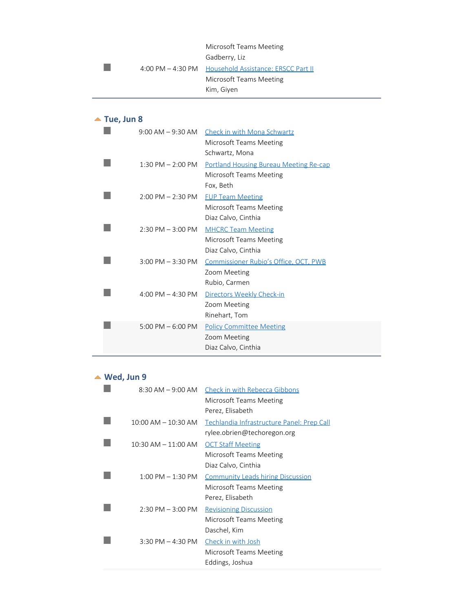#### Microsoft Teams Meeting Gadberry, Liz 4:00 PM – 4:30 PM Household Assistance: ERSCC Part II Microsoft Teams Meeting Kim, Giyen

#### <span id="page-21-0"></span>**Tue, Jun 8**

 $\mathbb{R}^n$ 

|                       | 9:00 AM – 9:30 AM Check in with Mona Schwartz |
|-----------------------|-----------------------------------------------|
|                       | Microsoft Teams Meeting                       |
|                       | Schwartz, Mona                                |
| $1:30$ PM $- 2:00$ PM | <b>Portland Housing Bureau Meeting Re-cap</b> |
|                       | Microsoft Teams Meeting                       |
|                       | Fox, Beth                                     |
| $2:00$ PM $- 2:30$ PM | <b>FUP Team Meeting</b>                       |
|                       | Microsoft Teams Meeting                       |
|                       | Diaz Calvo, Cinthia                           |
| $2:30$ PM $-3:00$ PM  | <b>MHCRC Team Meeting</b>                     |
|                       | Microsoft Teams Meeting                       |
|                       | Diaz Calvo, Cinthia                           |
| $3:00$ PM $-3:30$ PM  | Commissioner Rubio's Office, OCT, PWB         |
|                       | Zoom Meeting                                  |
|                       | Rubio, Carmen                                 |
| 4:00 PM $-$ 4:30 PM   | Directors Weekly Check-in                     |
|                       | Zoom Meeting                                  |
|                       | Rinehart, Tom                                 |
| 5:00 PM $-$ 6:00 PM   | <b>Policy Committee Meeting</b>               |
|                       | Zoom Meeting                                  |
|                       | Diaz Calvo, Cinthia                           |

#### <span id="page-21-1"></span>**Wed, Jun 9**

| $8:30$ AM $-9:00$ AM    | Check in with Rebecca Gibbons              |
|-------------------------|--------------------------------------------|
|                         | Microsoft Teams Meeting                    |
|                         | Perez, Elisabeth                           |
| $10:00$ AM $- 10:30$ AM | Techlandia Infrastructure Panel: Prep Call |
|                         | rylee.obrien@techoregon.org                |
| $10:30$ AM $- 11:00$ AM | <b>OCT Staff Meeting</b>                   |
|                         | Microsoft Teams Meeting                    |
|                         | Diaz Calvo, Cinthia                        |
| $1:00$ PM $-1:30$ PM    | <b>Community Leads hiring Discussion</b>   |
|                         | Microsoft Teams Meeting                    |
|                         | Perez, Elisabeth                           |
| $2:30$ PM $-3:00$ PM    | <b>Revisioning Discussion</b>              |
|                         | Microsoft Teams Meeting                    |
|                         | Daschel, Kim                               |
| $3:30$ PM $-$ 4:30 PM   | Check in with Josh                         |
|                         | Microsoft Teams Meeting                    |
|                         | Eddings, Joshua                            |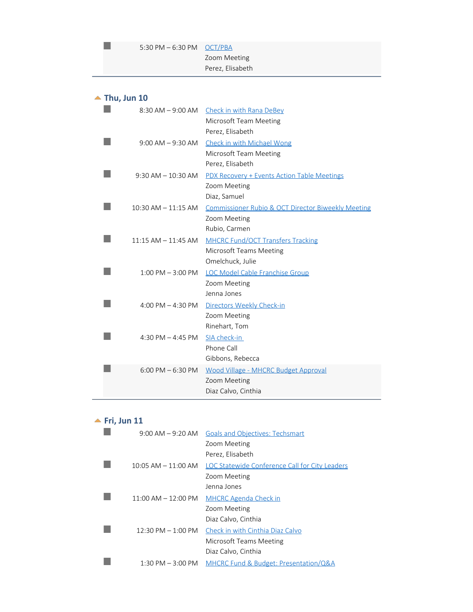| 5:30 PM $-6:30$ PM OCT/PBA |                  |
|----------------------------|------------------|
|                            | Zoom Meeting     |
|                            | Perez, Elisabeth |

<span id="page-22-0"></span>

| $\blacktriangle$ Thu, Jun 10 |                                                    |
|------------------------------|----------------------------------------------------|
|                              | 8:30 AM - 9:00 AM Check in with Rana DeBey         |
|                              | Microsoft Team Meeting                             |
|                              | Perez, Elisabeth                                   |
| $9:00$ AM $-9:30$ AM         | <b>Check in with Michael Wong</b>                  |
|                              | Microsoft Team Meeting                             |
|                              | Perez, Elisabeth                                   |
| $9:30$ AM $-10:30$ AM        | <b>PDX Recovery + Events Action Table Meetings</b> |
|                              | Zoom Meeting                                       |
|                              | Diaz, Samuel                                       |
| $10:30$ AM $- 11:15$ AM      | Commissioner Rubio & OCT Director Biweekly Meeting |
|                              | Zoom Meeting                                       |
|                              | Rubio, Carmen                                      |
| $11:15$ AM $- 11:45$ AM      | <b>MHCRC Fund/OCT Transfers Tracking</b>           |
|                              | Microsoft Teams Meeting                            |
|                              | Omelchuck, Julie                                   |
| $1:00$ PM $-3:00$ PM         | LOC Model Cable Franchise Group                    |
|                              | Zoom Meeting                                       |
|                              | Jenna Jones                                        |
| 4:00 PM $-$ 4:30 PM          | Directors Weekly Check-in                          |
|                              | Zoom Meeting                                       |
|                              | Rinehart, Tom                                      |
| 4:30 PM $-$ 4:45 PM          | SIA check-in                                       |
|                              | Phone Call                                         |
|                              | Gibbons, Rebecca                                   |
| $6:00$ PM $-6:30$ PM         | <b>Wood Village - MHCRC Budget Approval</b>        |
|                              | Zoom Meeting                                       |
|                              | Diaz Calvo, Cinthia                                |
|                              |                                                    |

# <span id="page-22-1"></span>**Fri, Jun 11**

| $9:00$ AM $-9:20$ AM                 | <b>Goals and Objectives: Techsmart</b>         |
|--------------------------------------|------------------------------------------------|
|                                      | Zoom Meeting                                   |
|                                      | Perez, Elisabeth                               |
| $10:05$ AM $-11:00$ AM               | LOC Statewide Conference Call for City Leaders |
|                                      | Zoom Meeting                                   |
|                                      | Jenna Jones                                    |
| $11:00$ AM $- 12:00$ PM              | <b>MHCRC Agenda Check in</b>                   |
|                                      | Zoom Meeting                                   |
|                                      | Diaz Calvo, Cinthia                            |
| $12:30 \text{ PM} - 1:00 \text{ PM}$ | Check in with Cinthia Diaz Calvo               |
|                                      | Microsoft Teams Meeting                        |
|                                      | Diaz Calvo, Cinthia                            |
| $1:30$ PM $-3:00$ PM                 | MHCRC Fund & Budget: Presentation/Q&A          |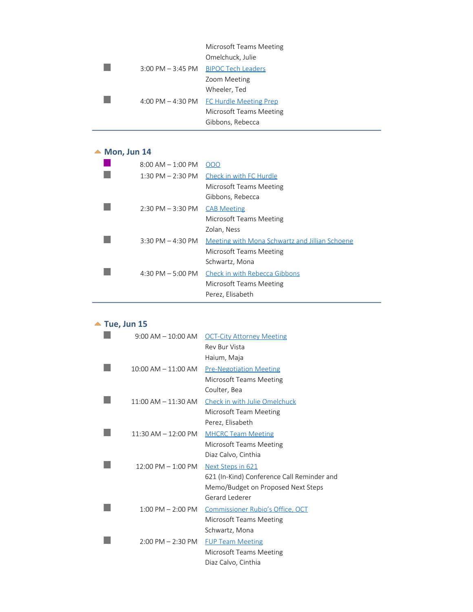#### Microsoft Teams Meeting Omelchuck, Julie 3:00 PM - 3:45 PM BIPOC Tech Leaders Zoom Meeting Wheeler, Ted 4:00 PM - 4:30 PM FC Hurdle Meeting Prep

Microsoft Teams Meeting Gibbons, Rebecca

#### ▲ Mon, Jun 14

P.

 $\overline{\mathbb{R}^n}$ 

<span id="page-23-0"></span>

| $8:00$ AM $-1:00$ PM  | OOO                                            |
|-----------------------|------------------------------------------------|
| $1:30$ PM $- 2:30$ PM | Check in with FC Hurdle                        |
|                       | Microsoft Teams Meeting                        |
|                       | Gibbons, Rebecca                               |
| $2:30$ PM $-3:30$ PM  | <b>CAB Meeting</b>                             |
|                       | Microsoft Teams Meeting                        |
|                       | Zolan, Ness                                    |
| $3:30$ PM $- 4:30$ PM | Meeting with Mona Schwartz and Jillian Schoene |
|                       | Microsoft Teams Meeting                        |
|                       | Schwartz, Mona                                 |
| 4:30 PM $-5:00$ PM    | Check in with Rebecca Gibbons                  |
|                       | Microsoft Teams Meeting                        |
|                       | Perez, Elisabeth                               |

#### <span id="page-23-1"></span>▲ Tue, Jun 15

| $9:00$ AM $-10:00$ AM   | <b>OCT-City Attorney Meeting</b>           |
|-------------------------|--------------------------------------------|
|                         | Rev Bur Vista                              |
|                         | Haium, Maja                                |
| $10:00$ AM $- 11:00$ AM | <b>Pre-Negotiation Meeting</b>             |
|                         | Microsoft Teams Meeting                    |
|                         | Coulter, Bea                               |
| $11:00$ AM $- 11:30$ AM | Check in with Julie Omelchuck              |
|                         | Microsoft Team Meeting                     |
|                         | Perez, Elisabeth                           |
| $11:30$ AM $- 12:00$ PM | <b>MHCRC Team Meeting</b>                  |
|                         | Microsoft Teams Meeting                    |
|                         | Diaz Calvo, Cinthia                        |
| $12:00$ PM $- 1:00$ PM  | Next Steps in 621                          |
|                         | 621 (In-Kind) Conference Call Reminder and |
|                         | Memo/Budget on Proposed Next Steps         |
|                         | Gerard Lederer                             |
| $1:00$ PM $- 2:00$ PM   | Commissioner Rubio's Office, OCT           |
|                         | Microsoft Teams Meeting                    |
|                         | Schwartz, Mona                             |
| $2:00$ PM $- 2:30$ PM   | <b>FUP Team Meeting</b>                    |
|                         | Microsoft Teams Meeting                    |
|                         | Diaz Calvo, Cinthia                        |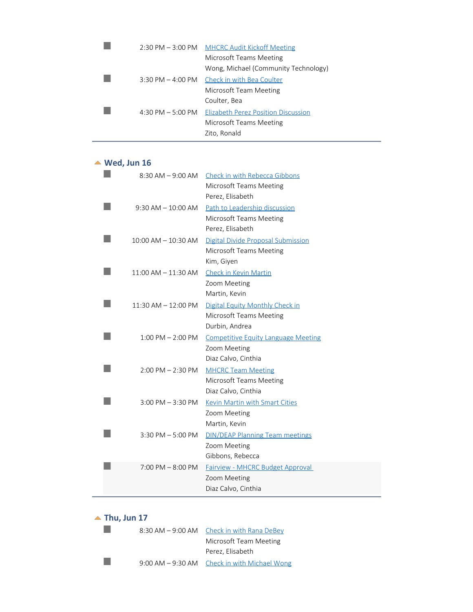|                     | 2:30 PM - 3:00 PM MHCRC Audit Kickoff Meeting |
|---------------------|-----------------------------------------------|
|                     | Microsoft Teams Meeting                       |
|                     | Wong, Michael (Community Technology)          |
|                     | 3:30 PM – 4:00 PM Check in with Bea Coulter   |
|                     | Microsoft Team Meeting                        |
|                     | Coulter, Bea                                  |
| 4:30 PM $-$ 5:00 PM | <b>Elizabeth Perez Position Discussion</b>    |
|                     | Microsoft Teams Meeting                       |
|                     | Zito, Ronald                                  |

#### <span id="page-24-0"></span>**Wed, Jun 16**

| $8:30$ AM $-9:00$ AM    | <b>Check in with Rebecca Gibbons</b><br>Microsoft Teams Meeting<br>Perez, Elisabeth |
|-------------------------|-------------------------------------------------------------------------------------|
| $9:30$ AM $-10:00$ AM   | Path to Leadership discussion<br>Microsoft Teams Meeting<br>Perez, Elisabeth        |
| $10:00$ AM $- 10:30$ AM | Digital Divide Proposal Submission<br>Microsoft Teams Meeting<br>Kim, Giyen         |
| $11:00$ AM $-11:30$ AM  | <b>Check in Kevin Martin</b><br>Zoom Meeting<br>Martin, Kevin                       |
| $11:30$ AM $- 12:00$ PM | Digital Equity Monthly Check in<br>Microsoft Teams Meeting<br>Durbin, Andrea        |
| $1:00$ PM $- 2:00$ PM   | <b>Competitive Equity Language Meeting</b><br>Zoom Meeting<br>Diaz Calvo, Cinthia   |
| $2:00$ PM $- 2:30$ PM   | <b>MHCRC Team Meeting</b><br>Microsoft Teams Meeting<br>Diaz Calvo, Cinthia         |
| $3:00$ PM $-3:30$ PM    | Kevin Martin with Smart Cities<br>Zoom Meeting<br>Martin, Kevin                     |
| $3:30$ PM $-5:00$ PM    | <b>DIN/DEAP Planning Team meetings</b><br>Zoom Meeting<br>Gibbons, Rebecca          |
| $7:00$ PM $-8:00$ PM    | <b>Fairview - MHCRC Budget Approval</b><br>Zoom Meeting<br>Diaz Calvo, Cinthia      |

#### <span id="page-24-1"></span>**Thu, Jun 17**

|  | 8:30 AM – 9:00 AM Check in with Rana DeBey     |
|--|------------------------------------------------|
|  | Microsoft Team Meeting                         |
|  | Perez, Elisabeth                               |
|  | 9:00 AM $-$ 9:30 AM Check in with Michael Wong |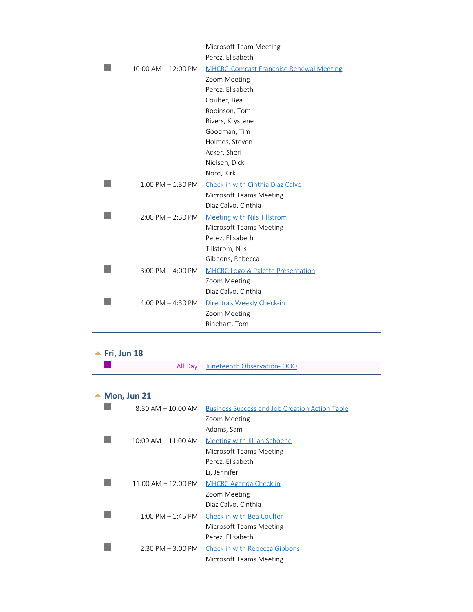|                         | Microsoft Team Meeting                         |
|-------------------------|------------------------------------------------|
|                         | Perez, Elisabeth                               |
| $10:00$ AM $- 12:00$ PM | <b>MHCRC-Comcast Franchise Renewal Meeting</b> |
|                         | Zoom Meeting                                   |
|                         | Perez, Elisabeth                               |
|                         | Coulter, Bea                                   |
|                         | Robinson, Tom                                  |
|                         | Rivers, Krystene                               |
|                         | Goodman, Tim                                   |
|                         | Holmes, Steven                                 |
|                         | Acker, Sheri                                   |
|                         | Nielsen, Dick                                  |
|                         | Nord, Kirk                                     |
| $1:00$ PM $-1:30$ PM    | Check in with Cinthia Diaz Calvo               |
|                         | Microsoft Teams Meeting                        |
|                         | Diaz Calvo, Cinthia                            |
| $2:00$ PM $- 2:30$ PM   | <b>Meeting with Nils Tillstrom</b>             |
|                         | Microsoft Teams Meeting                        |
|                         | Perez, Elisabeth                               |
|                         | Tillstrom, Nils                                |
|                         | Gibbons, Rebecca                               |
| $3:00$ PM $-$ 4:00 PM   | <b>MHCRC Logo &amp; Palette Presentation</b>   |
|                         | Zoom Meeting                                   |
|                         | Diaz Calvo, Cinthia                            |
| 4:00 PM $-$ 4:30 PM     | Directors Weekly Check-in                      |
|                         | Zoom Meeting                                   |
|                         | Rinehart, Tom                                  |
|                         |                                                |

#### <span id="page-25-0"></span>**Fri, Jun 18**

 $\mathcal{L}_{\mathcal{A}}$ 

|  |  | All Day Juneteenth Observation-OOO |  |
|--|--|------------------------------------|--|
|--|--|------------------------------------|--|

╾

#### <span id="page-25-1"></span>▲ Mon, Jun 21

| $8:30$ AM $- 10:00$ AM  | <b>Business Success and Job Creation Action Table</b> |
|-------------------------|-------------------------------------------------------|
|                         | Zoom Meeting                                          |
|                         | Adams, Sam                                            |
| $10:00$ AM $- 11:00$ AM | Meeting with Jillian Schoene                          |
|                         | Microsoft Teams Meeting                               |
|                         | Perez, Elisabeth                                      |
|                         | Li, Jennifer                                          |
| $11:00$ AM $- 12:00$ PM | <b>MHCRC Agenda Check in</b>                          |
|                         | Zoom Meeting                                          |
|                         | Diaz Calvo, Cinthia                                   |
| $1:00$ PM $-1:45$ PM    | Check in with Bea Coulter                             |
|                         | Microsoft Teams Meeting                               |
|                         | Perez, Elisabeth                                      |
| $2:30$ PM $-3:00$ PM    | Check in with Rebecca Gibbons                         |
|                         | Microsoft Teams Meeting                               |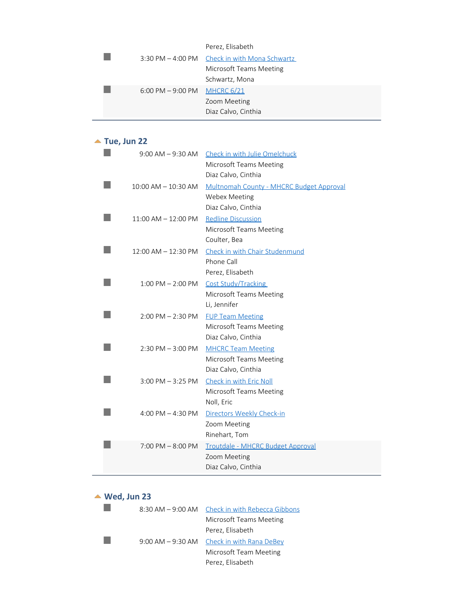| Perez, Elisabeth |  |
|------------------|--|
|------------------|--|

#### ▲ Tue, Jun 22

<span id="page-26-0"></span>

| $9:00$ AM $-9:30$ AM    | Check in with Julie Omelchuck<br><b>Microsoft Teams Meeting</b> |
|-------------------------|-----------------------------------------------------------------|
|                         | Diaz Calvo, Cinthia                                             |
| $10:00$ AM $- 10:30$ AM | Multnomah County - MHCRC Budget Approval                        |
|                         | Webex Meeting                                                   |
|                         | Diaz Calvo, Cinthia                                             |
| $11:00$ AM $- 12:00$ PM | <b>Redline Discussion</b>                                       |
|                         | Microsoft Teams Meeting                                         |
|                         | Coulter, Bea                                                    |
| $12:00$ AM $- 12:30$ PM | Check in with Chair Studenmund                                  |
|                         | Phone Call                                                      |
|                         | Perez, Elisabeth                                                |
| $1:00$ PM $- 2:00$ PM   | Cost Study/Tracking                                             |
|                         | Microsoft Teams Meeting                                         |
|                         | Li, Jennifer                                                    |
| $2:00$ PM $- 2:30$ PM   | <b>FUP Team Meeting</b>                                         |
|                         | Microsoft Teams Meeting                                         |
|                         | Diaz Calvo, Cinthia                                             |
| $2:30$ PM $-3:00$ PM    | <b>MHCRC Team Meeting</b>                                       |
|                         | Microsoft Teams Meeting                                         |
|                         | Diaz Calvo, Cinthia                                             |
| $3:00$ PM $-3:25$ PM    | Check in with Eric Noll                                         |
|                         | Microsoft Teams Meeting                                         |
|                         | Noll, Eric                                                      |
| 4:00 PM $-$ 4:30 PM     | Directors Weekly Check-in                                       |
|                         | Zoom Meeting                                                    |
|                         | Rinehart, Tom                                                   |
| $7:00$ PM $-8:00$ PM    | Troutdale - MHCRC Budget Approval                               |
|                         | Zoom Meeting                                                    |
|                         | Diaz Calvo, Cinthia                                             |

#### <span id="page-26-1"></span>**Wed, Jun 23**

|  | 8:30 AM - 9:00 AM Check in with Rebecca Gibbons |
|--|-------------------------------------------------|
|  | Microsoft Teams Meeting                         |
|  | Perez, Elisabeth                                |
|  | 9:00 AM - 9:30 AM Check in with Rana DeBey      |
|  | Microsoft Team Meeting                          |
|  | Perez, Elisabeth                                |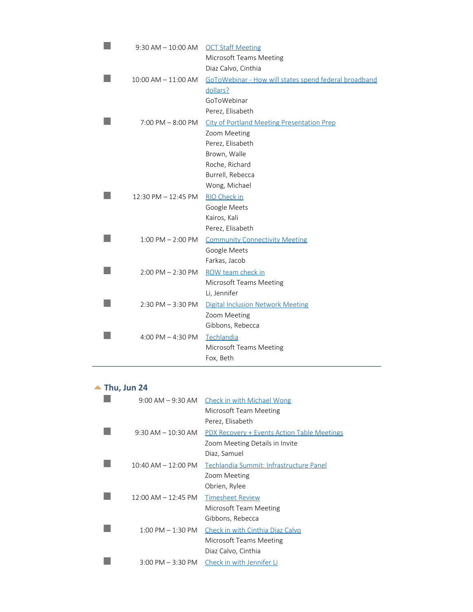| $9:30$ AM $-10:00$ AM   | <b>OCT Staff Meeting</b>                              |
|-------------------------|-------------------------------------------------------|
|                         | Microsoft Teams Meeting                               |
|                         | Diaz Calvo, Cinthia                                   |
| $10:00$ AM $- 11:00$ AM | GoToWebinar - How will states spend federal broadband |
|                         | dollars?                                              |
|                         | GoToWebinar                                           |
|                         | Perez, Elisabeth                                      |
| $7:00$ PM $- 8:00$ PM   | <b>City of Portland Meeting Presentation Prep</b>     |
|                         | Zoom Meeting                                          |
|                         | Perez, Elisabeth                                      |
|                         | Brown, Walle                                          |
|                         | Roche, Richard                                        |
|                         | Burrell, Rebecca                                      |
|                         | Wong, Michael                                         |
| 12:30 PM - 12:45 PM     | <b>RIO Check in</b>                                   |
|                         | Google Meets                                          |
|                         | Kairos, Kali                                          |
|                         | Perez, Elisabeth                                      |
| $1:00$ PM $- 2:00$ PM   | <b>Community Connectivity Meeting</b>                 |
|                         | Google Meets                                          |
|                         | Farkas, Jacob                                         |
| $2:00$ PM $- 2:30$ PM   | ROW team check in                                     |
|                         | Microsoft Teams Meeting                               |
|                         | Li, Jennifer                                          |
| $2:30$ PM $-3:30$ PM    | Digital Inclusion Network Meeting                     |
|                         | Zoom Meeting                                          |
|                         | Gibbons, Rebecca                                      |
| 4:00 PM $-$ 4:30 PM     | Techlandia                                            |
|                         | Microsoft Teams Meeting                               |
|                         | Fox, Beth                                             |
|                         |                                                       |

## <span id="page-27-0"></span>▲ Thu, Jun 24

L.

| $9:00$ AM $-9:30$ AM    | <b>Check in with Michael Wong</b>                  |
|-------------------------|----------------------------------------------------|
|                         | Microsoft Team Meeting                             |
|                         | Perez, Elisabeth                                   |
| $9:30$ AM $-10:30$ AM   | <b>PDX Recovery + Events Action Table Meetings</b> |
|                         | Zoom Meeting Details in Invite                     |
|                         | Diaz, Samuel                                       |
| $10:40$ AM $- 12:00$ PM | Techlandia Summit: Infrastructure Panel            |
|                         | Zoom Meeting                                       |
|                         | Obrien, Rylee                                      |
| $12:00$ AM $- 12:45$ PM | <b>Timesheet Review</b>                            |
|                         | Microsoft Team Meeting                             |
|                         | Gibbons, Rebecca                                   |
| $1:00$ PM $-1:30$ PM    | Check in with Cinthia Diaz Calvo                   |
|                         | Microsoft Teams Meeting                            |
|                         | Diaz Calvo, Cinthia                                |
| $3:00$ PM $-3:30$ PM    | Check in with Jennifer Li                          |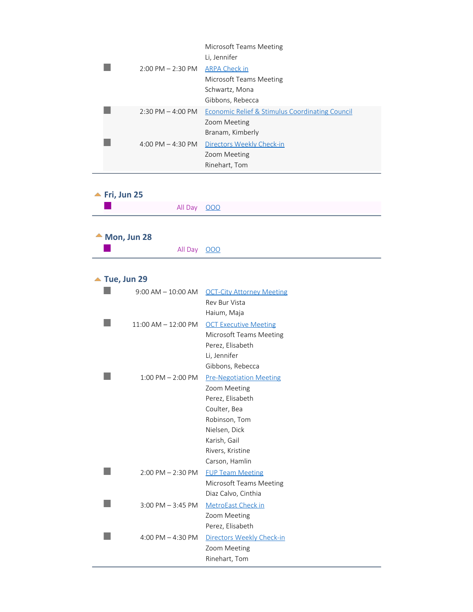|                                     | Microsoft Teams Meeting<br>Li, Jennifer         |
|-------------------------------------|-------------------------------------------------|
| $2:00$ PM $- 2:30$ PM               | <b>ARPA Check in</b>                            |
|                                     | Microsoft Teams Meeting                         |
|                                     | Schwartz, Mona                                  |
|                                     | Gibbons, Rebecca                                |
| $2:30 \text{ PM} - 4:00 \text{ PM}$ | Economic Relief & Stimulus Coordinating Council |
|                                     | Zoom Meeting                                    |
|                                     | Branam, Kimberly                                |
| 4:00 PM $-$ 4:30 PM                 | Directors Weekly Check-in                       |
|                                     | Zoom Meeting                                    |
|                                     | Rinehart, Tom                                   |
|                                     |                                                 |

<span id="page-28-2"></span><span id="page-28-1"></span><span id="page-28-0"></span>

| $\blacktriangle$ Fri, Jun 25 |                              |                                           |
|------------------------------|------------------------------|-------------------------------------------|
|                              | All Day                      | 000                                       |
|                              |                              |                                           |
|                              | $\triangle$ Mon, Jun 28      |                                           |
|                              | All Day                      | 000                                       |
|                              |                              |                                           |
|                              | $\blacktriangle$ Tue, Jun 29 |                                           |
|                              | $9:00$ AM $-10:00$ AM        | <b>OCT-City Attorney Meeting</b>          |
|                              |                              | Rev Bur Vista                             |
|                              |                              | Haium, Maja                               |
|                              | $11:00$ AM $- 12:00$ PM      | <b>OCT Executive Meeting</b>              |
|                              |                              | Microsoft Teams Meeting                   |
|                              |                              | Perez, Elisabeth                          |
|                              |                              | Li, Jennifer                              |
|                              |                              | Gibbons, Rebecca                          |
|                              | $1:00$ PM $- 2:00$ PM        | <b>Pre-Negotiation Meeting</b>            |
|                              |                              | Zoom Meeting                              |
|                              |                              | Perez, Elisabeth                          |
|                              |                              | Coulter, Bea                              |
|                              |                              | Robinson, Tom                             |
|                              |                              | Nielsen, Dick                             |
|                              |                              | Karish, Gail                              |
|                              |                              | Rivers, Kristine                          |
|                              |                              | Carson, Hamlin                            |
|                              | $2:00$ PM $- 2:30$ PM        | <b>FUP Team Meeting</b>                   |
|                              |                              | Microsoft Teams Meeting                   |
|                              |                              | Diaz Calvo, Cinthia                       |
|                              | $3:00$ PM $-3:45$ PM         | MetroEast Check in                        |
|                              |                              | Zoom Meeting<br>Perez, Elisabeth          |
|                              | 4:00 PM $-$ 4:30 PM          |                                           |
|                              |                              | Directors Weekly Check-in<br>Zoom Meeting |
|                              |                              | Rinehart, Tom                             |
|                              |                              |                                           |